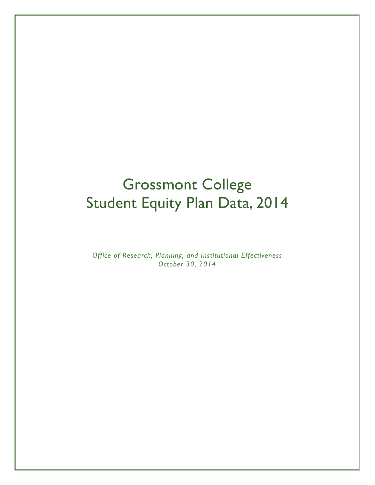# Grossmont College Student Equity Plan Data, 2014

*Office of Research, Planning, and Institutional Effectiveness October 30, 2014*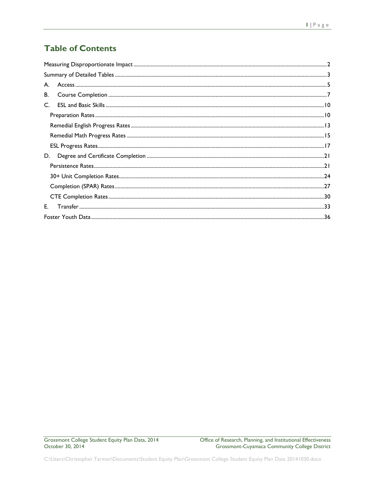# **Table of Contents**

| A. |  |
|----|--|
| В. |  |
| C. |  |
|    |  |
|    |  |
|    |  |
|    |  |
| D. |  |
|    |  |
|    |  |
|    |  |
|    |  |
| E. |  |
|    |  |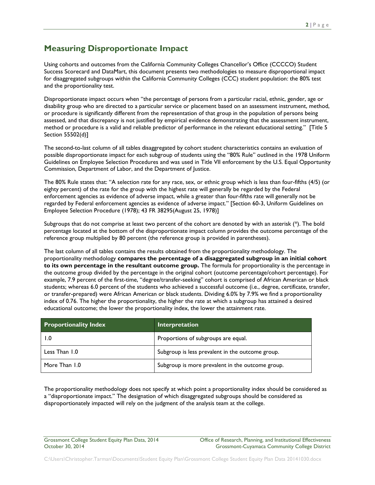# <span id="page-2-0"></span>**Measuring Disproportionate Impact**

Using cohorts and outcomes from the California Community Colleges Chancellor's Office (CCCCO) Student Success Scorecard and DataMart, this document presents two methodologies to measure disproportional impact for disaggregated subgroups within the California Community Colleges (CCC) student population: the 80% test and the proportionality test.

Disproportionate impact occurs when "the percentage of persons from a particular racial, ethnic, gender, age or disability group who are directed to a particular service or placement based on an assessment instrument, method, or procedure is significantly different from the representation of that group in the population of persons being assessed, and that discrepancy is not justified by empirical evidence demonstrating that the assessment instrument, method or procedure is a valid and reliable predictor of performance in the relevant educational setting." [Title 5 Section 55502(d)]

The second-to-last column of all tables disaggregated by cohort student characteristics contains an evaluation of possible disproportionate impact for each subgroup of students using the "80% Rule" outlined in the 1978 Uniform Guidelines on Employee Selection Procedures and was used in Title VII enforcement by the U.S. Equal Opportunity Commission, Department of Labor, and the Department of Justice.

The 80% Rule states that: "A selection rate for any race, sex, or ethnic group which is less than four-fifths (4/5) (or eighty percent) of the rate for the group with the highest rate will generally be regarded by the Federal enforcement agencies as evidence of adverse impact, while a greater than four-fifths rate will generally not be regarded by Federal enforcement agencies as evidence of adverse impact." [Section 60-3, Uniform Guidelines on Employee Selection Procedure (1978); 43 FR 38295(August 25, 1978)]

Subgroups that do not comprise at least two percent of the cohort are denoted by with an asterisk (\*). The bold percentage located at the bottom of the disproportionate impact column provides the outcome percentage of the reference group multiplied by 80 percent (the reference group is provided in parentheses).

The last column of all tables contains the results obtained from the proportionality methodology. The proportionality methodology **compares the percentage of a disaggregated subgroup in an initial cohort to its own percentage in the resultant outcome group.** The formula for proportionality is the percentage in the outcome group divided by the percentage in the original cohort (outcome percentage/cohort percentage). For example, 7.9 percent of the first-time, "degree/transfer-seeking" cohort is comprised of African American or black students; whereas 6.0 percent of the students who achieved a successful outcome (i.e., degree, certificate, transfer, or transfer-prepared) were African American or black students. Dividing 6.0% by 7.9% we find a proportionality index of 0.76. The higher the proportionality, the higher the rate at which a subgroup has attained a desired educational outcome; the lower the proportionality index, the lower the attainment rate.

| <b>Proportionality Index</b> | Interpretation                                   |
|------------------------------|--------------------------------------------------|
| 1.0                          | Proportions of subgroups are equal.              |
| Less Than 1.0                | Subgroup is less prevalent in the outcome group. |
| More Than 1.0                | Subgroup is more prevalent in the outcome group. |

The proportionality methodology does not specify at which point a proportionality index should be considered as a "disproportionate impact." The designation of which disaggregated subgroups should be considered as disproportionately impacted will rely on the judgment of the analysis team at the college.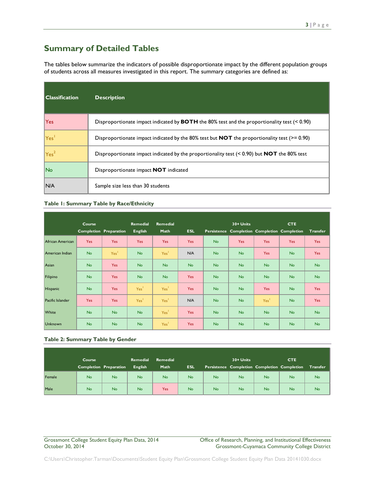# <span id="page-3-0"></span>**Summary of Detailed Tables**

The tables below summarize the indicators of possible disproportionate impact by the different population groups of students across all measures investigated in this report. The summary categories are defined as:

| <b>Classification</b> | <b>Description</b>                                                                                       |
|-----------------------|----------------------------------------------------------------------------------------------------------|
| Yes                   | Disproportionate impact indicated by <b>BOTH</b> the 80% test and the proportionality test $($ < 0.90)   |
| Yes                   | Disproportionate impact indicated by the 80% test but <b>NOT</b> the proportionality test ( $> = 0.90$ ) |
| Yes <sup>2</sup>      | Disproportionate impact indicated by the proportionality test $(< 0.90$ ) but <b>NOT</b> the 80% test    |
| No                    | Disproportionate impact NOT indicated                                                                    |
| N/A                   | Sample size less than 30 students                                                                        |

#### **Table 1: Summary Table by Race/Ethnicity**

|                  | Course                        |                  | <b>Remedial</b>  | Remedial         |            |           | 30+ Units |                                              | <b>CTE</b> |                 |  |
|------------------|-------------------------------|------------------|------------------|------------------|------------|-----------|-----------|----------------------------------------------|------------|-----------------|--|
|                  | <b>Completion Preparation</b> |                  | <b>English</b>   | Math             | <b>ESL</b> |           |           | Persistence Completion Completion Completion |            | <b>Transfer</b> |  |
| African American | <b>Yes</b>                    | <b>Yes</b>       | <b>Yes</b>       | <b>Yes</b>       | <b>Yes</b> | <b>No</b> | Yes       | <b>Yes</b>                                   | Yes        | <b>Yes</b>      |  |
| American Indian  | <b>No</b>                     | Yes <sup>1</sup> | <b>No</b>        | Yes <sup>1</sup> | N/A        | <b>No</b> | <b>No</b> | <b>Yes</b>                                   | <b>No</b>  | <b>Yes</b>      |  |
| Asian            | <b>No</b>                     | <b>Yes</b>       | <b>No</b>        | <b>No</b>        | <b>No</b>  | <b>No</b> | <b>No</b> | <b>No</b>                                    | <b>No</b>  | <b>No</b>       |  |
| Filipino         | <b>No</b>                     | <b>Yes</b>       | <b>No</b>        | <b>No</b>        | <b>Yes</b> | <b>No</b> | <b>No</b> | <b>No</b>                                    | <b>No</b>  | <b>No</b>       |  |
| <b>Hispanic</b>  | <b>No</b>                     | <b>Yes</b>       | Yes <sup>1</sup> | Yes <sup>1</sup> | <b>Yes</b> | <b>No</b> | <b>No</b> | <b>Yes</b>                                   | <b>No</b>  | <b>Yes</b>      |  |
| Pacific Islander | <b>Yes</b>                    | <b>Yes</b>       | Yes <sup>1</sup> | Yes <sup>1</sup> | N/A        | <b>No</b> | <b>No</b> | Yes <sup>1</sup>                             | <b>No</b>  | <b>Yes</b>      |  |
| White            | <b>No</b>                     | <b>No</b>        | <b>No</b>        | Yes <sup>1</sup> | <b>Yes</b> | <b>No</b> | <b>No</b> | <b>No</b>                                    | <b>No</b>  | <b>No</b>       |  |
| <b>Unknown</b>   | <b>No</b>                     | <b>No</b>        | <b>No</b>        | Yes <sup>1</sup> | <b>Yes</b> | <b>No</b> | <b>No</b> | <b>No</b>                                    | <b>No</b>  | <b>No</b>       |  |

#### **Table 2: Summary Table by Gender**

|        | <b>Course</b> |                        | <b>Remedial</b> | <b>Remedial</b> |            |           | 30+ Units | <b>CTE</b> |                                              |           |
|--------|---------------|------------------------|-----------------|-----------------|------------|-----------|-----------|------------|----------------------------------------------|-----------|
|        |               | Completion Preparation | <b>English</b>  | Math            | <b>ESL</b> |           |           |            | Persistence Completion Completion Completion | Transfer  |
| Female | <b>No</b>     | <b>No</b>              | <b>No</b>       | <b>No</b>       | <b>No</b>  | <b>No</b> | <b>No</b> | <b>No</b>  | <b>No</b>                                    | <b>No</b> |
| Male   | <b>No</b>     | <b>No</b>              | <b>No</b>       | Yes             | <b>No</b>  | <b>No</b> | <b>No</b> | <b>No</b>  | <b>No</b>                                    | <b>No</b> |

Grossmont College Student Equity Plan Data, 2014 College Office of Research, Planning, and Institutional Effectiveness<br>October 30, 2014 Crossmont-Cuyamaca Community College District Grossmont-Cuyamaca Community College District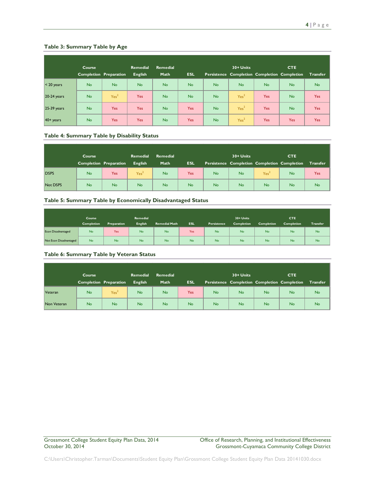#### **Table 3: Summary Table by Age**

|                     | Course<br><b>Completion Preparation</b> |                  | <b>Remedial</b> | <b>Remedial</b> |            |           | 30+ Units        | <b>CTE</b> |                                              |                 |
|---------------------|-----------------------------------------|------------------|-----------------|-----------------|------------|-----------|------------------|------------|----------------------------------------------|-----------------|
|                     |                                         |                  | <b>English</b>  | Math            | <b>ESL</b> |           |                  |            | Persistence Completion Completion Completion | <b>Transfer</b> |
| $< 20$ years        | <b>No</b>                               | <b>No</b>        | <b>No</b>       | <b>No</b>       | <b>No</b>  | <b>No</b> | <b>No</b>        | <b>No</b>  | <b>No</b>                                    | <b>No</b>       |
| 20-24 years         | <b>No</b>                               | Yes <sup>2</sup> | <b>Yes</b>      | <b>No</b>       | <b>No</b>  | <b>No</b> | Yes <sup>2</sup> | <b>Yes</b> | <b>No</b>                                    | <b>Yes</b>      |
| 25-39 years         | <b>No</b>                               | <b>Yes</b>       | <b>Yes</b>      | <b>No</b>       | <b>Yes</b> | <b>No</b> | Yes <sup>2</sup> | <b>Yes</b> | <b>No</b>                                    | <b>Yes</b>      |
| $40 + \text{years}$ | <b>No</b>                               | <b>Yes</b>       | <b>Yes</b>      | <b>No</b>       | <b>Yes</b> | <b>No</b> | Yes <sup>2</sup> | <b>Yes</b> | <b>Yes</b>                                   | <b>Yes</b>      |

#### **Table 4: Summary Table by Disability Status**

|             | Course    |                               | <b>Remedial</b>  | <b>Remedial</b> |            |           | 30+ Units |                                              | <b>CTE</b> |                 |  |
|-------------|-----------|-------------------------------|------------------|-----------------|------------|-----------|-----------|----------------------------------------------|------------|-----------------|--|
|             |           | <b>Completion Preparation</b> | <b>English</b>   | Math            | <b>ESL</b> |           |           | Persistence Completion Completion Completion |            | <b>Transfer</b> |  |
| <b>DSPS</b> | <b>No</b> | Yes <sup>.</sup>              | Yes <sup>2</sup> | <b>No</b>       | Yes        | <b>No</b> | <b>No</b> | Yes <sup>2</sup>                             | <b>No</b>  | <b>Yes</b>      |  |
| Not DSPS    | <b>No</b> | <b>No</b>                     | <b>No</b>        | <b>No</b>       | <b>No</b>  | <b>No</b> | <b>No</b> | <b>No</b>                                    | <b>No</b>  | <b>No</b>       |  |

#### **Table 5: Summary Table by Economically Disadvantaged Status**

|                        | Course            |             | Remedial       |                      |     |             | $30 +$ Units      |                   | <b>CTE</b>        |                 |
|------------------------|-------------------|-------------|----------------|----------------------|-----|-------------|-------------------|-------------------|-------------------|-----------------|
|                        | <b>Completion</b> | Preparation | <b>English</b> | <b>Remedial Math</b> | ESL | Persistence | <b>Completion</b> | <b>Completion</b> | <b>Completion</b> | <b>Transfer</b> |
| Econ Disadvantaged     | No                | Yes         | <b>No</b>      | No                   | Yes | <b>No</b>   | <b>No</b>         | <b>No</b>         | No                | No              |
| Not Econ Disadvantaged | No                | <b>No</b>   | No             | No                   | No  | <b>No</b>   | No                | <b>No</b>         | No                | No              |

#### **Table 6: Summary Table by Veteran Status**

|             | Course    |                               | <b>Remedial</b><br><b>Remedial</b> |           |            |           | 30+ Units | <b>CTE</b>                                   |           |           |
|-------------|-----------|-------------------------------|------------------------------------|-----------|------------|-----------|-----------|----------------------------------------------|-----------|-----------|
|             |           | <b>Completion Preparation</b> | <b>English</b>                     | Math      | <b>ESL</b> |           |           | Persistence Completion Completion Completion |           | Transfer  |
| Veteran     | <b>No</b> | Yes <sup>2</sup>              | <b>No</b>                          | <b>No</b> | Yes        | <b>No</b> | <b>No</b> | <b>No</b>                                    | <b>No</b> | <b>No</b> |
| Non Veteran | <b>No</b> | <b>No</b>                     | <b>No</b>                          | <b>No</b> | <b>No</b>  | <b>No</b> | <b>No</b> | <b>No</b>                                    | <b>No</b> | <b>No</b> |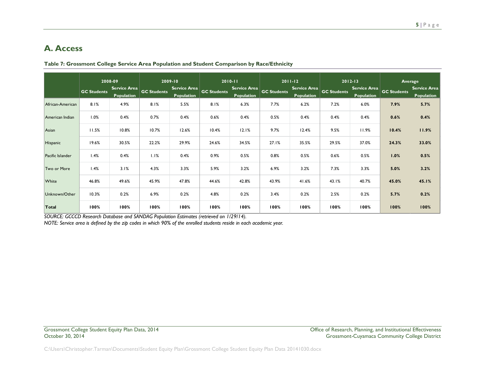# **A. Access**

|                  | 2008-09<br>Service Area<br><b>GC Students</b> |                   | 2009-10<br>Service Area<br><b>GC Students</b> |                   | $2010 - 11$<br><b>Service Area</b><br><b>GC Students</b> |                   | $2011 - 12$<br>Service Area<br><b>GC Students</b> |                   | $2012 - 13$<br>Service Area<br><b>GC Students</b> |                   | Average<br><b>Service Area</b><br><b>GC Students</b> |                   |
|------------------|-----------------------------------------------|-------------------|-----------------------------------------------|-------------------|----------------------------------------------------------|-------------------|---------------------------------------------------|-------------------|---------------------------------------------------|-------------------|------------------------------------------------------|-------------------|
|                  |                                               | <b>Population</b> |                                               | <b>Population</b> |                                                          | <b>Population</b> |                                                   | <b>Population</b> |                                                   | <b>Population</b> |                                                      | <b>Population</b> |
| African-American | 8.1%                                          | 4.9%              | 8.1%                                          | 5.5%              | 8.1%                                                     | 6.3%              | 7.7%                                              | 6.2%              | 7.2%                                              | 6.0%              | 7.9%                                                 | 5.7%              |
| American Indian  | 1.0%                                          | 0.4%              | 0.7%                                          | 0.4%              | 0.6%                                                     | 0.4%              | 0.5%                                              | 0.4%              | 0.4%                                              | 0.4%              | 0.6%                                                 | 0.4%              |
| Asian            | 11.5%                                         | 10.8%             | 10.7%                                         | 12.6%             | 10.4%                                                    | 12.1%             | 9.7%                                              | 12.4%             | 9.5%                                              | 11.9%             | 10.4%                                                | 11.9%             |
| Hispanic         | 19.6%                                         | 30.5%             | 22.2%                                         | 29.9%             | 24.6%                                                    | 34.5%             | 27.1%                                             | 35.5%             | 29.5%                                             | 37.0%             | 24.3%                                                | 33.0%             |
| Pacific Islander | 1.4%                                          | 0.4%              | 1.1%                                          | 0.4%              | 0.9%                                                     | 0.5%              | 0.8%                                              | 0.5%              | 0.6%                                              | 0.5%              | 1.0%                                                 | 0.5%              |
| Two or More      | 1.4%                                          | 3.1%              | 4.3%                                          | 3.3%              | 5.9%                                                     | 3.2%              | 6.9%                                              | 3.2%              | 7.3%                                              | 3.3%              | 5.0%                                                 | 3.2%              |
| White            | 46.8%                                         | 49.6%             | 45.9%                                         | 47.8%             | 44.6%                                                    | 42.8%             | 43.9%                                             | 41.6%             | 43.1%                                             | 40.7%             | 45.0%                                                | 45.1%             |
| Unknown/Other    | 10.3%                                         | 0.2%              | 6.9%                                          | 0.2%              | 4.8%                                                     | 0.2%              | 3.4%                                              | 0.2%              | 2.5%                                              | 0.2%              | 5.7%                                                 | 0.2%              |
| Total            | 100%                                          | 100%              | 100%                                          | 100%              | 100%                                                     | 100%              | 100%                                              | 100%              | 100%                                              | 100%              | 100%                                                 | 100%              |

**Table 7: Grossmont College Service Area Population and Student Comparison by Race/Ethnicity**

<span id="page-5-0"></span>*SOURCE: GCCCD Research Database and SANDAG Population Estimates (retrieved on 1/29/14).*

*NOTE: Service area is defined by the zip codes in which 90% of the enrolled students reside in each academic year.*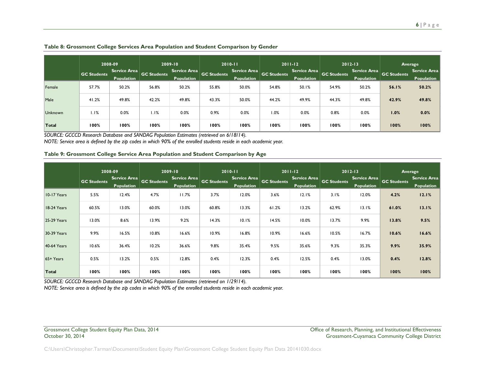|                | 2008-09            |                            | 2009-10            |                                   | $2010 - 11$        |                                   | $2011 - 12$        |                                   | $2012 - 13$        |                                   | Average            |                                   |
|----------------|--------------------|----------------------------|--------------------|-----------------------------------|--------------------|-----------------------------------|--------------------|-----------------------------------|--------------------|-----------------------------------|--------------------|-----------------------------------|
|                | <b>GC Students</b> | Service Area<br>Population | <b>GC Students</b> | Service Area<br><b>Population</b> | <b>GC Students</b> | Service Area<br><b>Population</b> | <b>GC Students</b> | Service Area<br><b>Population</b> | <b>GC Students</b> | Service Area<br><b>Population</b> | <b>GC Students</b> | <b>Service Area</b><br>Population |
| Female         | 57.7%              | 50.2%                      | 56.8%              | 50.2%                             | 55.8%              | 50.0%                             | 54.8%              | 50.1%                             | 54.9%              | 50.2%                             | 56.1%              | 50.2%                             |
| Male           | 41.2%              | 49.8%                      | 42.2%              | 49.8%                             | 43.3%              | 50.0%                             | 44.2%              | 49.9%                             | 44.3%              | 49.8%                             | 42.9%              | 49.8%                             |
| <b>Unknown</b> | 1.1%               | 0.0%                       | 1.1%               | 0.0%                              | 0.9%               | 0.0%                              | 1.0%               | 0.0%                              | 0.8%               | 0.0%                              | 1.0%               | 0.0%                              |
| Total          | 100%               | 100%                       | 100%               | 100%                              | 100%               | 100%                              | 100%               | 100%                              | 100%               | 100%                              | 100%               | 100%                              |

#### **Table 8: Grossmont College Services Area Population and Student Comparison by Gender**

*SOURCE: GCCCD Research Database and SANDAG Population Estimates (retrieved on 6/18/14).*

*NOTE: Service area is defined by the zip codes in which 90% of the enrolled students reside in each academic year.*

#### **Table 9: Grossmont College Service Area Population and Student Comparison by Age**

|                    | 2008-09            |                                          | 2009-10            |                                          |                    | $2010 - 11$                       |                    | $2011 - 12$                       |                    | $2012 - 13$                       | Average            |                                          |
|--------------------|--------------------|------------------------------------------|--------------------|------------------------------------------|--------------------|-----------------------------------|--------------------|-----------------------------------|--------------------|-----------------------------------|--------------------|------------------------------------------|
|                    | <b>GC Students</b> | <b>Service Area</b><br><b>Population</b> | <b>GC Students</b> | <b>Service Area</b><br><b>Population</b> | <b>GC Students</b> | Service Area<br><b>Population</b> | <b>GC Students</b> | Service Area<br><b>Population</b> | <b>GC Students</b> | Service Area<br><b>Population</b> | <b>GC Students</b> | <b>Service Area</b><br><b>Population</b> |
| 10-17 Years        | 5.5%               | 12.4%                                    | 4.7%               | 11.7%                                    | 3.7%               | 12.0%                             | 3.6%               | 12.1%                             | 3.1%               | 12.0%                             | 4.2%               | 12.1%                                    |
| 18-24 Years        | 60.5%              | 13.0%                                    | 60.0%              | 13.0%                                    | 60.8%              | 13.3%                             | 61.2%              | 13.2%                             | 62.9%              | 13.1%                             | 61.0%              | 13.1%                                    |
| <b>25-29 Years</b> | 13.0%              | 8.6%                                     | 13.9%              | 9.2%                                     | 14.3%              | 10.1%                             | 14.5%              | 10.0%                             | 13.7%              | 9.9%                              | 13.8%              | 9.5%                                     |
| 30-39 Years        | 9.9%               | 16.5%                                    | 10.8%              | 16.6%                                    | 10.9%              | 16.8%                             | 10.9%              | 16.6%                             | 10.5%              | 16.7%                             | 10.6%              | 16.6%                                    |
| <b>40-64 Years</b> | 10.6%              | 36.4%                                    | 10.2%              | 36.6%                                    | 9.8%               | 35.4%                             | 9.5%               | 35.6%                             | 9.3%               | 35.3%                             | 9.9%               | 35.9%                                    |
| $65+Years$         | 0.5%               | 13.2%                                    | 0.5%               | 12.8%                                    | 0.4%               | 12.3%                             | 0.4%               | 12.5%                             | 0.4%               | 13.0%                             | 0.4%               | 12.8%                                    |
| Total              | 100%               | 100%                                     | 100%               | 100%                                     | 100%               | 100%                              | 100%               | 100%                              | 100%               | 100%                              | 100%               | 100%                                     |

*SOURCE: GCCCD Research Database and SANDAG Population Estimates (retrieved on 1/29/14).*

*NOTE: Service area is defined by the zip codes in which 90% of the enrolled students reside in each academic year.*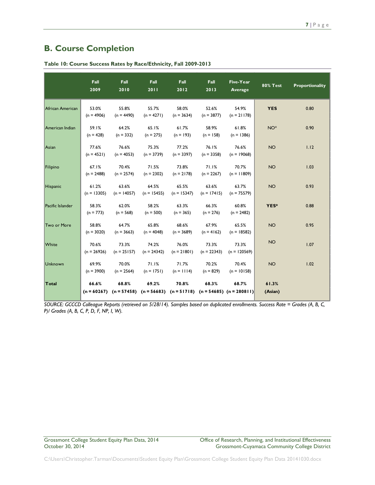# <span id="page-7-0"></span>**B. Course Completion**

|                  | Fall<br>2009           | Fall<br>2010           | Fall<br>2011           | Fall<br>2012           | Fall<br>2013           | Five-Year<br>Average                                                                          | <b>80% Test</b>  | Proportionality |
|------------------|------------------------|------------------------|------------------------|------------------------|------------------------|-----------------------------------------------------------------------------------------------|------------------|-----------------|
| African American | 53.0%<br>$(n = 4906)$  | 55.8%<br>$(n = 4490)$  | 55.7%<br>$(n = 4271)$  | 58.0%<br>$(n = 3634)$  | 52.6%<br>$(n = 3877)$  | 54.9%<br>$(n = 21178)$                                                                        | <b>YES</b>       | 0.80            |
| American Indian  | 59.1%<br>$(n = 428)$   | 64.2%<br>$(n = 332)$   | 65.1%<br>$(n = 275)$   | 61.7%<br>$(n = 193)$   | 58.9%<br>$(n = 158)$   | 61.8%<br>$(n = 1386)$                                                                         | NO <sup>*</sup>  | 0.90            |
| Asian            | 77.6%<br>$(n = 4521)$  | 76.6%<br>$(n = 4053)$  | 75.3%<br>$(n = 3739)$  | 77.2%<br>$(n = 3397)$  | 76.1%<br>$(n = 3358)$  | 76.6%<br>$(n = 19068)$                                                                        | <b>NO</b>        | 1.12            |
| Filipino         | 67.1%<br>$(n = 2488)$  | 70.4%<br>$(n = 2574)$  | 71.5%<br>$(n = 2302)$  | 73.8%<br>$(n = 2178)$  | 71.1%<br>$(n = 2267)$  | 70.7%<br>$(n = 11809)$                                                                        | <b>NO</b>        | 1.03            |
| Hispanic         | 61.2%<br>$(n = 13305)$ | 63.6%<br>$(n = 14057)$ | 64.5%<br>$(n = 15455)$ | 65.5%<br>$(n = 15347)$ | 63.6%<br>$(n = 17415)$ | 63.7%<br>$(n = 75579)$                                                                        | <b>NO</b>        | 0.93            |
| Pacific Islander | 58.3%<br>$(n = 773)$   | 62.0%<br>$(n = 568)$   | 58.2%<br>$(n = 500)$   | 63.3%<br>$(n = 365)$   | 66.3%<br>$(n = 276)$   | 60.8%<br>$(n = 2482)$                                                                         | YES*             | 0.88            |
| Two or More      | 58.8%<br>$(n = 3020)$  | 64.7%<br>$(n = 3663)$  | 65.8%<br>$(n = 4048)$  | 68.6%<br>$(n = 3689)$  | 67.9%<br>$(n = 4162)$  | 65.5%<br>$(n = 18582)$                                                                        | <b>NO</b>        | 0.95            |
| White            | 70.6%<br>$(n = 26926)$ | 73.3%<br>$(n = 25157)$ | 74.2%<br>$(n = 24342)$ | 76.0%<br>$(n = 21801)$ | 73.3%<br>$(n = 22343)$ | 73.3%<br>$(n = 120569)$                                                                       | <b>NO</b>        | 1.07            |
| Unknown          | 69.9%<br>$(n = 3900)$  | 70.0%<br>$(n = 2564)$  | 71.1%<br>$(n = 1751)$  | 71.7%<br>$(n = 1114)$  | 70.2%<br>$(n = 829)$   | 70.4%<br>$(n = 10158)$                                                                        | <b>NO</b>        | 1.02            |
| Total            | 66.6%                  | 68.8%                  | 69.2%                  | 70.8%                  | 68.3%                  | 68.7%<br>$(n = 60267)$ $(n = 57458)$ $(n = 56683)$ $(n = 51718)$ $(n = 54685)$ $(n = 280811)$ | 61.3%<br>(Asian) |                 |

**Table 10: Course Success Rates by Race/Ethnicity, Fall 2009-2013**

*SOURCE: GCCCD Colleague Reports (retrieved on 5/28/14). Samples based on duplicated enrollments. Success Rate = Grades (A, B, C, P)/ Grades (A, B, C, P, D, F, NP, I, W).*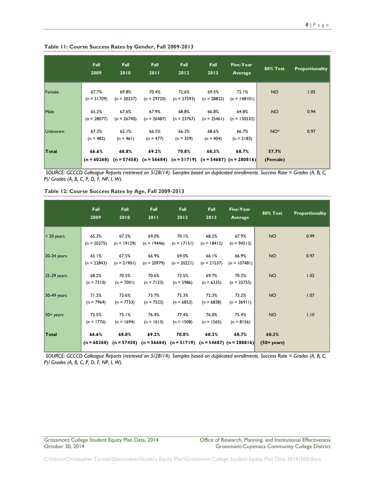|                | <b>Fall</b><br>2009    | <b>Fall</b><br>2010    | Fall<br>2011           | Fall<br>2012           | <b>Fall</b><br>2013    | Five-Year<br>Average                                                                          | <b>80% Test</b>   | <b>Proportionality</b> |
|----------------|------------------------|------------------------|------------------------|------------------------|------------------------|-----------------------------------------------------------------------------------------------|-------------------|------------------------|
| Female         | 67.7%<br>$(n = 31709)$ | 69.8%<br>$(n = 30257)$ | 70.4%<br>$(n = 29720)$ | 72.6%<br>$(n = 27593)$ | 69.5%<br>$(n = 28822)$ | 72.1%<br>$(n = 148101)$                                                                       | <b>NO</b>         | 1.05                   |
| Male           | 65.2%<br>$(n = 28077)$ | 67.6%<br>$(n = 26740)$ | 67.9%<br>$(n = 26487)$ | 68.8%<br>$(n = 23767)$ | 66.8%<br>$(n = 25461)$ | 64.8%<br>$(n = 130532)$                                                                       | <b>NO</b>         | 0.94                   |
| <b>Unknown</b> | 67.2%<br>$(n = 482)$   | 65.1%<br>$(n = 461)$   | 66.5%<br>$(n = 477)$   | 66.3%<br>$(n = 359)$   | 68.6%<br>$(n = 404)$   | 66.7%<br>$(n = 2183)$                                                                         | NO <sup>*</sup>   | 0.97                   |
| Total          | 66.6%                  | 68.8%                  | 69.2%                  | 70.8%                  | 68.3%                  | 68.7%<br>$(n = 60268)$ $(n = 57458)$ $(n = 56684)$ $(n = 51719)$ $(n = 54687)$ $(n = 280816)$ | 57.7%<br>(Female) |                        |

*SOURCE: GCCCD Colleague Reports (retrieved on 5/28/14). Samples based on duplicated enrollments. Success Rate = Grades (A, B, C, P)/ Grades (A, B, C, P, D, F, NP, I, W).*

**Table 12: Course Success Rates by Age, Fall 2009-2013**

|                 | Fall<br>2009           | <b>Fall</b><br>2010    | <b>Fall</b><br>2011    | <b>Fall</b><br>2012    | <b>Fall</b><br>2013    | Five-Year<br>Average                                                                          | <b>80% Test</b>                | <b>Proportionality</b> |
|-----------------|------------------------|------------------------|------------------------|------------------------|------------------------|-----------------------------------------------------------------------------------------------|--------------------------------|------------------------|
| $\leq$ 20 years | 65.3%<br>$(n = 20375)$ | 67.2%<br>$(n = 19129)$ | 69.0%<br>$(n = 19446)$ | 70.1%<br>$(n = 17151)$ | 68.2%<br>$(n = 18412)$ | 67.9%<br>$(n = 94513)$                                                                        | <b>NO</b>                      | 0.99                   |
| $20-24$ years   | 65.1%<br>$(n = 22843)$ | 67.5%<br>$(n = 21901)$ | 66.9%<br>$(n = 20979)$ | 69.0%<br>$(n = 20221)$ | 66.1%<br>$(n = 21537)$ | 66.9%<br>$(n = 107481)$                                                                       | <b>NO</b>                      | 0.97                   |
| $ 25-29$ years  | 68.2%<br>$(n = 7310)$  | 70.5%<br>$(n = 7001)$  | 70.6%<br>$(n = 7123)$  | 72.5%<br>$(n = 5986)$  | 69.7%<br>$(n = 6335)$  | 70.2%<br>$(n = 33755)$                                                                        | <b>NO</b>                      | 1.02                   |
| $30-49$ years   | 71.2%<br>$(n = 7964)$  | 73.6%<br>$(n = 7733)$  | 73.7%<br>$(n = 7523)$  | 75.3%<br>$(n = 6853)$  | 72.3%<br>$(n = 6838)$  | 73.2%<br>$(n = 36911)$                                                                        | <b>NO</b>                      | 1.07                   |
| $50+ years$     | 72.5%<br>$(n = 1776)$  | 75.1%<br>$(n = 1694)$  | 76.4%<br>$(n = 1613)$  | 77.4%<br>$(n = 1508)$  | 76.0%<br>$(n = 1565)$  | 75.4%<br>$(n = 8156)$                                                                         | <b>NO</b>                      | 1.10                   |
| Total           | 66.6%                  | 68.8%                  | 69.2%                  | 70.8%                  | 68.3%                  | 68.7%<br>$(n = 60268)$ $(n = 57458)$ $(n = 56684)$ $(n = 51719)$ $(n = 54687)$ $(n = 280816)$ | 60.3%<br>$(50 + \text{years})$ |                        |

*SOURCE: GCCCD Colleague Reports (retrieved on 5/28/14). Samples based on duplicated enrollments. Success Rate = Grades (A, B, C, P)/ Grades (A, B, C, P, D, F, NP, I, W).*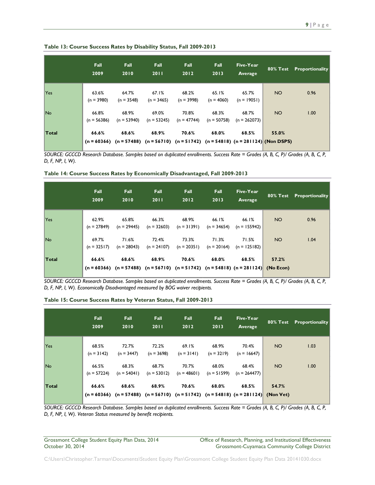| Table 13: Course Success Rates by Disability Status, Fall 2009-2013 |  |  |
|---------------------------------------------------------------------|--|--|
|---------------------------------------------------------------------|--|--|

|              | Fall<br>2009           | <b>Fall</b><br>2010    | <b>Fall</b><br>2011    | Fall<br>2012           | Fall<br>2013           | Five-Year<br>Average                                                                                     |           | 80% Test Proportionality |
|--------------|------------------------|------------------------|------------------------|------------------------|------------------------|----------------------------------------------------------------------------------------------------------|-----------|--------------------------|
| Yes          | 63.6%<br>$(n = 3980)$  | 64.7%<br>$(n = 3548)$  | 67.1%<br>$(n = 3465)$  | 68.2%<br>$(n = 3998)$  | 65.1%<br>$(n = 4060)$  | 65.7%<br>$(n = 19051)$                                                                                   | <b>NO</b> | 0.96                     |
| No           | 66.8%<br>$(n = 56386)$ | 68.9%<br>$(n = 53940)$ | 69.0%<br>$(n = 53245)$ | 70.8%<br>$(n = 47744)$ | 68.3%<br>$(n = 50758)$ | 68.7%<br>$(n = 262073)$                                                                                  | <b>NO</b> | 1.00                     |
| <b>Total</b> | 66.6%                  | 68.6%                  | 68.9%                  | 70.6%                  | 68.0%                  | 68.5%<br>$(n = 60366)$ $(n = 57488)$ $(n = 56710)$ $(n = 51742)$ $(n = 54818)$ $(n = 281124)$ (Non DSPS) | 55.0%     |                          |

*SOURCE: GCCCD Research Database. Samples based on duplicated enrollments. Success Rate = Grades (A, B, C, P)/ Grades (A, B, C, P, D, F, NP, I, W).*

| Table 14: Course Success Rates by Economically Disadvantaged, Fall 2009-2013 |  |  |  |  |
|------------------------------------------------------------------------------|--|--|--|--|
|------------------------------------------------------------------------------|--|--|--|--|

|                | Fall<br>2009           | <b>Fall</b><br>2010    | Fall<br>2011           | Fall<br>2012           | <b>Fall</b><br>2013    | Five-Year<br>Average                                                                                    |                 | <b>80% Test</b> Proportionality |
|----------------|------------------------|------------------------|------------------------|------------------------|------------------------|---------------------------------------------------------------------------------------------------------|-----------------|---------------------------------|
| <b>Yes</b>     | 62.9%<br>$(n = 27849)$ | 65.8%<br>$(n = 29445)$ | 66.3%<br>$(n = 32603)$ | 68.9%<br>$(n = 31391)$ | 66.1%<br>$(n = 34654)$ | 66.1%<br>$(n = 155942)$                                                                                 | NO <sub>1</sub> | 0.96                            |
| N <sub>o</sub> | 69.7%<br>$(n = 32517)$ | 71.6%<br>$(n = 28043)$ | 72.4%<br>$(n = 24107)$ | 73.3%<br>$(n = 20351)$ | 71.3%<br>$(n = 20164)$ | 71.5%<br>$(n = 125182)$                                                                                 | NO <sub>1</sub> | 1.04                            |
| Total          | 66.6%                  | 68.6%                  | 68.9%                  | 70.6%                  | 68.0%                  | 68.5%<br>$(n = 60366)$ $(n = 57488)$ $(n = 56710)$ $(n = 51742)$ $(n = 54818)$ $(n = 281124)$ (No Econ) | 57.2%           |                                 |

*SOURCE: GCCCD Research Database. Samples based on duplicated enrollments. Success Rate = Grades (A, B, C, P)/ Grades (A, B, C, P, D, F, NP, I, W). Economically Disadvantaged measured by BOG waiver recipients.*

|       | <b>Fall</b><br>2009    | <b>Fall</b><br>2010    | <b>Fall</b><br>2011    | Fall<br>2012           | Fall<br>2013           | Five-Year<br>Average                                                                                    |                 | 80% Test Proportionality |
|-------|------------------------|------------------------|------------------------|------------------------|------------------------|---------------------------------------------------------------------------------------------------------|-----------------|--------------------------|
| Yes   | 68.5%<br>$(n = 3142)$  | 72.7%<br>$(n = 3447)$  | 72.2%<br>$(n = 3698)$  | 69.1%<br>$(n = 3141)$  | 68.9%<br>$(n = 3219)$  | 70.4%<br>$(n = 16647)$                                                                                  | NO <sub>1</sub> | 1.03                     |
| No.   | 66.5%<br>$(n = 57224)$ | 68.3%<br>$(n = 54041)$ | 68.7%<br>$(n = 53012)$ | 70.7%<br>$(n = 48601)$ | 68.0%<br>$(n = 51599)$ | 68.4%<br>$(n = 264477)$                                                                                 | NO <sub>1</sub> | 1.00                     |
| Total | 66.6%                  | 68.6%                  | 68.9%                  | 70.6%                  | 68.0%                  | 68.5%<br>$(n = 60366)$ $(n = 57488)$ $(n = 56710)$ $(n = 51742)$ $(n = 54818)$ $(n = 281124)$ (Non Vet) | 54.7%           |                          |

#### **Table 15: Course Success Rates by Veteran Status, Fall 2009-2013**

*SOURCE: GCCCD Research Database. Samples based on duplicated enrollments. Success Rate = Grades (A, B, C, P)/ Grades (A, B, C, P, D, F, NP, I, W). Veteran Status measured by benefit recipients.*

Grossmont College Student Equity Plan Data, 2014 Office of Research, Planning, and Institutional Effectiveness<br>October 30, 2014 Crossmont-Cuyamaca Community College District Grossmont-Cuyamaca Community College District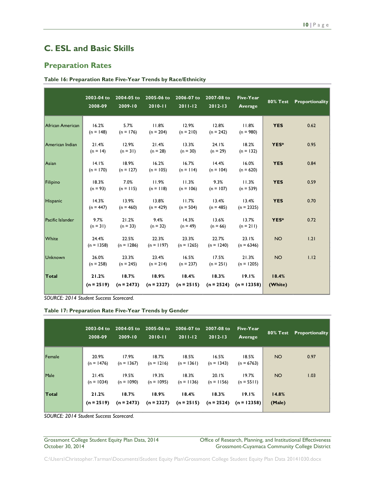# <span id="page-10-0"></span>**C. ESL and Basic Skills**

### <span id="page-10-1"></span>**Preparation Rates**

| Table 16: Preparation Rate Five-Year Trends by Race/Ethnicity |  |  |  |
|---------------------------------------------------------------|--|--|--|
|---------------------------------------------------------------|--|--|--|

|                  | 2003-04 to<br>2008-09 | 2004-05 to<br>2009-10 | 2005-06 to<br>$2010 - 11$ | 2006-07 to<br>$2011 - 12$ | 2007-08 to<br>$2012 - 13$           | Five-Year<br>Average  | <b>80% Test</b>  | Proportionality |
|------------------|-----------------------|-----------------------|---------------------------|---------------------------|-------------------------------------|-----------------------|------------------|-----------------|
| African American | 16.2%<br>$(n = 148)$  | 5.7%<br>$(n = 176)$   | 11.8%<br>$(n = 204)$      | 12.9%<br>$(n = 210)$      | 12.8%<br>$(n = 242)$                | 11.8%<br>$(n = 980)$  | <b>YES</b>       | 0.62            |
| American Indian  | 21.4%<br>$(n = 14)$   | 12.9%<br>$(n = 31)$   | 21.4%<br>$(n = 28)$       | 13.3%<br>$(n = 30)$       | 24.1%<br>$(n = 29)$                 | 18.2%<br>$(n = 132)$  | YES*             | 0.95            |
| Asian            | 14.1%<br>$(n = 170)$  | 18.9%<br>$(n = 127)$  | 16.2%<br>$(n = 105)$      | 16.7%<br>$(n = 114)$      | 14.4%<br>$(n = 104)$                | 16.0%<br>$(n = 620)$  | <b>YES</b>       | 0.84            |
| Filipino         | 18.3%<br>$(n = 93)$   | 7.0%<br>$(n = 115)$   | 11.9%<br>$(n = 118)$      | 11.3%<br>$(n = 106)$      | 9.3%<br>$(n = 107)$                 | 11.3%<br>$(n = 539)$  | <b>YES</b>       | 0.59            |
| Hispanic         | 14.3%<br>$(n = 447)$  | 13.9%<br>$(n = 460)$  | 13.8%<br>$(n = 429)$      | 11.7%<br>$(n = 504)$      | 13.4%<br>$(n = 485)$                | 13.4%<br>$(n = 2325)$ | <b>YES</b>       | 0.70            |
| Pacific Islander | 9.7%<br>$(n = 31)$    | 21.2%<br>$(n = 33)$   | 9.4%<br>$(n = 32)$        | 14.3%<br>$(n = 49)$       | 13.6%<br>$(n = 66)$                 | 13.7%<br>$(n = 211)$  | YES*             | 0.72            |
| White            | 24.4%<br>$(n = 1358)$ | 22.5%<br>$(n = 1286)$ | 22.3%<br>$(n = 1197)$     | 23.3%<br>$(n = 1265)$     | 22.7%<br>$(n = 1240)$               | 23.1%<br>$(n = 6346)$ | <b>NO</b>        | 1.21            |
| Unknown          | 26.0%<br>$(n = 258)$  | 23.3%<br>$(n = 245)$  | 23.4%<br>$(n = 214)$      | 16.5%<br>$(n = 237)$      | 17.5%<br>$(n = 251)$                | 21.3%<br>$(n = 1205)$ | <b>NO</b>        | 1.12            |
| Total            | 21.2%<br>$(n = 2519)$ | 18.7%<br>$(n = 2473)$ | 18.9%<br>$(n = 2327)$     | 18.4%<br>$(n = 2515)$     | 18.3%<br>$(n = 2524)$ $(n = 12358)$ | 19.1%                 | 18.4%<br>(White) |                 |

*SOURCE: 2014 Student Success Scorecard.*

| Table 17: Preparation Rate Five-Year Trends by Gender |  |  |
|-------------------------------------------------------|--|--|
|-------------------------------------------------------|--|--|

|        | 2003-04 to<br>2008-09 | 2009-10               | 2004-05 to 2005-06 to 2006-07 to<br>$2010 - 11$ | $2011 - 12$           | 2007-08 to<br>$2012 - 13$ | <b>Five-Year</b><br>Average |                 | 80% Test Proportionality |
|--------|-----------------------|-----------------------|-------------------------------------------------|-----------------------|---------------------------|-----------------------------|-----------------|--------------------------|
| Female | 20.9%<br>$(n = 1476)$ | 17.9%<br>$(n = 1367)$ | 18.7%<br>$(n = 1216)$                           | 18.5%<br>$(n = 1361)$ | 16.5%<br>$(n = 1343)$     | 18.5%<br>$(n = 6763)$       | NO <sub>1</sub> | 0.97                     |
| Male   | 21.4%<br>$(n = 1034)$ | 19.5%<br>$(n = 1090)$ | 19.3%<br>$(n = 1095)$                           | 18.3%<br>$(n = 1136)$ | 20.1%<br>$(n = 1156)$     | 19.7%<br>$(n = 5511)$       | NO <sub>1</sub> | 1.03                     |
| Total  | 21.2%<br>$(n = 2519)$ | 18.7%<br>$(n = 2473)$ | 18.9%<br>$(n = 2327)$                           | 18.4%<br>$(n = 2515)$ | 18.3%<br>$(n = 2524)$     | 19.1%<br>$(n = 12358)$      | 14.8%<br>(Male) |                          |

*SOURCE: 2014 Student Success Scorecard.*

Grossmont College Student Equity Plan Data, 2014 <br>Office of Research, Planning, and Institutional Effectiveness<br>Grossmont-Cuyamaca Community College District Grossmont-Cuyamaca Community College District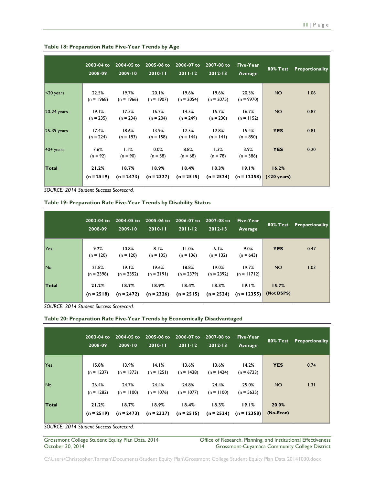|                | $2003 - 04$ to<br>2008-09 | 2004-05 to<br>2009-10 | 2005-06 to<br>$2010 - 11$ | 2006-07 to<br>$2011 - 12$ | 2007-08 to<br>$2012 - 13$ | Five-Year<br>Average   | $80\%$ Test              | <b>Proportionality</b> |
|----------------|---------------------------|-----------------------|---------------------------|---------------------------|---------------------------|------------------------|--------------------------|------------------------|
| $ $ <20 years  | 22.5%<br>$(n = 1968)$     | 19.7%<br>$(n = 1966)$ | 20.1%<br>$(n = 1907)$     | 19.6%<br>$(n = 2054)$     | 19.6%<br>$(n = 2075)$     | 20.3%<br>$(n = 9970)$  | <b>NO</b>                | 1.06                   |
| $20-24$ years  | 19.1%<br>$(n = 235)$      | 17.5%<br>$(n = 234)$  | 16.7%<br>$(n = 204)$      | 14.5%<br>$(n = 249)$      | 15.7%<br>$(n = 230)$      | 16.7%<br>$(n = 1152)$  | <b>NO</b>                | 0.87                   |
| $ 25-39$ years | 17.4%<br>$(n = 224)$      | 18.6%<br>$(n = 183)$  | 13.9%<br>$(n = 158)$      | 12.5%<br>$(n = 144)$      | 12.8%<br>$(n = 141)$      | 15.4%<br>$(n = 850)$   | <b>YES</b>               | 0.81                   |
| $40+$ years    | 7.6%<br>$(n = 92)$        | 1.1%<br>$(n = 90)$    | 0.0%<br>$(n = 58)$        | 8.8%<br>$(n = 68)$        | 1.3%<br>$(n = 78)$        | 3.9%<br>$(n = 386)$    | <b>YES</b>               | 0.20                   |
| Total          | 21.2%<br>$(n = 2519)$     | 18.7%<br>$(n = 2473)$ | 18.9%<br>$(n = 2327)$     | 18.4%<br>$(n = 2515)$     | 18.3%<br>$(n = 2524)$     | 19.1%<br>$(n = 12358)$ | 16.2%<br>$( < 20$ years) |                        |

#### **Table 18: Preparation Rate Five-Year Trends by Age**

*SOURCE: 2014 Student Success Scorecard.*

**Table 19: Preparation Rate Five-Year Trends by Disability Status**

|       | 2003-04 to<br>2008-09 | 2004-05 to<br>2009-10 | 2005-06 to<br>$2010 - 11$ | 2006-07 to<br>$2011 - 12$ | 2007-08 to<br>$2012 - 13$ | Five-Year<br>Average   |                     | <b>80% Test</b> Proportionality |
|-------|-----------------------|-----------------------|---------------------------|---------------------------|---------------------------|------------------------|---------------------|---------------------------------|
| Yes   | 9.2%<br>$(n = 120)$   | 10.8%<br>$(n = 120)$  | 8.1%<br>$(n = 135)$       | 11.0%<br>$(n = 136)$      | 6.1%<br>$(n = 132)$       | 9.0%<br>$(n = 643)$    | <b>YES</b>          | 0.47                            |
| No.   | 21.8%<br>$(n = 2398)$ | 19.1%<br>$(n = 2352)$ | 19.6%<br>$(n = 2191)$     | 18.8%<br>$(n = 2379)$     | 19.0%<br>$(n = 2392)$     | 19.7%<br>$(n = 11712)$ | <b>NO</b>           | 1.03                            |
| Total | 21.2%<br>$(n = 2518)$ | 18.7%<br>$(n = 2472)$ | 18.9%<br>$(n = 2326)$     | 18.4%<br>$(n = 2515)$     | 18.3%<br>$(n = 2524)$     | 19.1%<br>$(n = 12355)$ | 15.7%<br>(Not DSPS) |                                 |

*SOURCE: 2014 Student Success Scorecard.*

| Table 20: Preparation Rate Five-Year Trends by Economically Disadvantaged |  |  |  |  |
|---------------------------------------------------------------------------|--|--|--|--|
|---------------------------------------------------------------------------|--|--|--|--|

|       | 2003-04 to<br>2008-09 | $2009 - 10$           | 2004-05 to 2005-06 to<br>$2010 - 11$ | 2006-07 to<br>$2011-12$ | 2007-08 to<br>$2012 - 13$ | Five-Year<br>Average                |                    | <b>80% Test Proportionality</b> |
|-------|-----------------------|-----------------------|--------------------------------------|-------------------------|---------------------------|-------------------------------------|--------------------|---------------------------------|
| Yes   | 15.8%<br>$(n = 1237)$ | 13.9%<br>$(n = 1373)$ | 14.1%<br>$(n = 1251)$                | 13.6%<br>$(n = 1438)$   | 13.6%<br>$(n = 1424)$     | 14.2%<br>$(n = 6723)$               | <b>YES</b>         | 0.74                            |
| No.   | 26.4%<br>$(n = 1282)$ | 24.7%<br>$(n = 1100)$ | 24.4%<br>$(n = 1076)$                | 24.8%<br>$(n = 1077)$   | 24.4%<br>$(n = 1100)$     | 25.0%<br>$(n = 5635)$               | <b>NO</b>          | 1.31                            |
| Total | 21.2%<br>$(n = 2519)$ | 18.7%<br>$(n = 2473)$ | 18.9%<br>$(n = 2327)$                | 18.4%<br>$(n = 2515)$   | 18.3%                     | 19.1%<br>$(n = 2524)$ $(n = 12358)$ | 20.0%<br>(No-Econ) |                                 |

*SOURCE: 2014 Student Success Scorecard.*

Grossmont College Student Equity Plan Data, 2014 Office of Research, Planning, and Institutional Effectiveness<br>October 30, 2014 Ottober 30, 2014 Grossmont-Cuyamaca Community College District Grossmont-Cuyamaca Community College District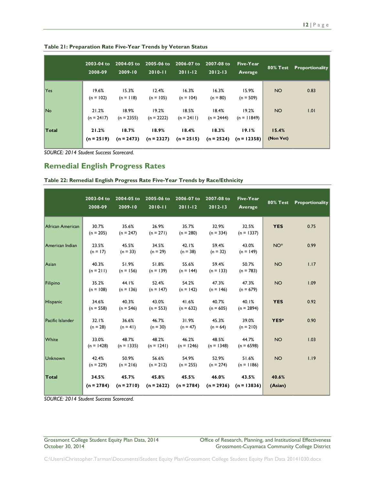|              | 2003-04 to<br>2008-09 | 2004-05 to<br>2009-10 | $2005 - 06$ to<br>$2010 - 11$ | 2006-07 to<br>$2011 - 12$ | 2007-08 to<br>$2012 - 13$ | Five-Year<br>Average   | 80% Test           | Proportionality |
|--------------|-----------------------|-----------------------|-------------------------------|---------------------------|---------------------------|------------------------|--------------------|-----------------|
| Yes          | 19.6%<br>$(n = 102)$  | 15.3%<br>$(n = 118)$  | 12.4%<br>$(n = 105)$          | 16.3%<br>$(n = 104)$      | 16.3%<br>$(n = 80)$       | 15.9%<br>$(n = 509)$   | <b>NO</b>          | 0.83            |
| No.          | 21.2%<br>$(n = 2417)$ | 18.9%<br>$(n = 2355)$ | 19.2%<br>$(n = 2222)$         | 18.5%<br>$(n = 2411)$     | 18.4%<br>$(n = 2444)$     | 19.2%<br>$(n = 11849)$ | <b>NO</b>          | 1.01            |
| <b>Total</b> | 21.2%<br>$(n = 2519)$ | 18.7%<br>$(n = 2473)$ | 18.9%<br>$(n = 2327)$         | 18.4%<br>$(n = 2515)$     | 18.3%<br>$(n = 2524)$     | 19.1%<br>$(n = 12358)$ | 15.4%<br>(Non Vet) |                 |

**Table 21: Preparation Rate Five-Year Trends by Veteran Status**

### <span id="page-12-0"></span>**Remedial English Progress Rates**

**Table 22: Remedial English Progress Rate Five-Year Trends by Race/Ethnicity**

|                  | 2003-04 to<br>2008-09 | 2004-05 to<br>2009-10 | 2005-06 to 2006-07 to<br>$2010 - 11$ | $2011 - 12$           | 2007-08 to<br>$2012 - 13$       | Five-Year<br>Average  | <b>80% Test</b>  | Proportionality |
|------------------|-----------------------|-----------------------|--------------------------------------|-----------------------|---------------------------------|-----------------------|------------------|-----------------|
| African American | 30.7%<br>$(n = 205)$  | 35.6%<br>$(n = 247)$  | 26.9%<br>$(n = 271)$                 | 35.7%<br>$(n = 280)$  | 32.9%<br>$(n = 334)$            | 32.5%<br>$(n = 1337)$ | <b>YES</b>       | 0.75            |
| American Indian  | 23.5%<br>$(n = 17)$   | 45.5%<br>$(n = 33)$   | 34.5%<br>$(n = 29)$                  | 42.1%<br>$(n = 38)$   | 59.4%<br>$(n = 32)$             | 43.0%<br>$(n = 149)$  | NO <sup>*</sup>  | 0.99            |
| Asian            | 40.3%<br>$(n = 211)$  | 51.9%<br>$(n = 156)$  | 51.8%<br>$(n = 139)$                 | 55.6%<br>$(n = 144)$  | 59.4%<br>$(n = 133)$            | 50.7%<br>$(n = 783)$  | <b>NO</b>        | 1.17            |
| Filipino         | 35.2%<br>$(n = 108)$  | 44.1%<br>$(n = 136)$  | 52.4%<br>$(n = 147)$                 | 54.2%<br>$(n = 142)$  | 47.3%<br>$(n = 146)$            | 47.3%<br>$(n = 679)$  | <b>NO</b>        | 1.09            |
| Hispanic         | 34.6%<br>$(n = 558)$  | 40.3%<br>$(n = 546)$  | 43.0%<br>$(n = 553)$                 | 41.6%<br>$(n = 632)$  | 40.7%<br>$(n = 605)$            | 40.1%<br>$(n = 2894)$ | <b>YES</b>       | 0.92            |
| Pacific Islander | 32.1%<br>$(n = 28)$   | 36.6%<br>$(n = 41)$   | 46.7%<br>$(n = 30)$                  | 31.9%<br>$(n = 47)$   | 45.3%<br>$(n = 64)$             | 39.0%<br>$(n = 210)$  | YES*             | 0.90            |
| White            | 33.0%<br>$(n = 1428)$ | 48.7%<br>$(n = 1335)$ | 48.2%<br>$(n = 1241)$                | 46.2%<br>$(n = 1246)$ | 48.5%<br>$(n = 1348)$           | 44.7%<br>$(n = 6598)$ | <b>NO</b>        | 1.03            |
| Unknown          | 42.4%<br>$(n = 229)$  | 50.9%<br>$(n = 216)$  | 56.6%<br>$(n = 212)$                 | 54.9%<br>$(n = 255)$  | 52.9%<br>$(n = 274)$            | 51.6%<br>$(n = 1186)$ | <b>NO</b>        | 1.19            |
| Total            | 34.5%<br>$(n = 2784)$ | 45.7%<br>$(n = 2710)$ | 45.8%<br>$(n = 2622)$                | 45.5%<br>$(n = 2784)$ | 46.0%<br>$(n=2936)$ $(n=13836)$ | 43.5%                 | 40.6%<br>(Asian) |                 |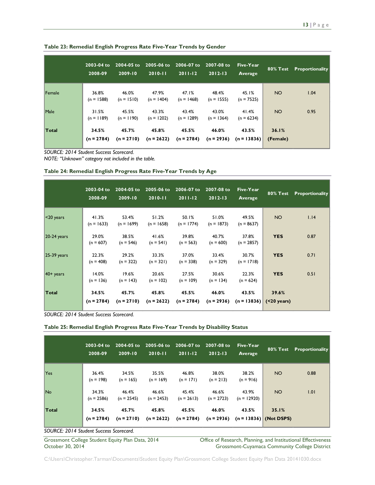|        | 2003-04 to<br>2008-09 | 2004-05 to<br>2009-10 | 2005-06 to<br>$2010 - 11$ | 2006-07 to<br>$2011 - 12$ | 2007-08 to<br>$2012 - 13$ | Five-Year<br>Average   | 80% Test          | Proportionality |
|--------|-----------------------|-----------------------|---------------------------|---------------------------|---------------------------|------------------------|-------------------|-----------------|
| Female | 36.8%<br>$(n = 1588)$ | 46.0%<br>$(n = 1510)$ | 47.9%<br>$(n = 1404)$     | 47.1%<br>$(n = 1468)$     | 48.4%<br>$(n = 1555)$     | 45.1%<br>$(n = 7525)$  | <b>NO</b>         | 1.04            |
| Male   | 31.5%<br>$(n = 1189)$ | 45.5%<br>$(n = 1190)$ | 43.3%<br>$(n = 1202)$     | 43.4%<br>$(n = 1289)$     | 43.0%<br>$(n = 1364)$     | 41.4%<br>$(n = 6234)$  | <b>NO</b>         | 0.95            |
| Total  | 34.5%<br>$(n = 2784)$ | 45.7%<br>$(n = 2710)$ | 45.8%<br>$(n = 2622)$     | 45.5%<br>$(n = 2784)$     | 46.0%<br>$(n = 2936)$     | 43.5%<br>$(n = 13836)$ | 36.1%<br>(Female) |                 |

**Table 23: Remedial English Progress Rate Five-Year Trends by Gender**

*NOTE: "Unknown" category not included in the table.*

|  |  |  | Table 24: Remedial English Progress Rate Five-Year Trends by Age |  |  |
|--|--|--|------------------------------------------------------------------|--|--|
|  |  |  |                                                                  |  |  |

|               | 2003-04 to<br>2008-09 | 2004-05 to<br>2009-10 | 2005-06 to<br>$2010 - 11$ | 2006-07 to<br>$2011 - 12$ | 2007-08 to<br>$2012 - 13$ | Five-Year<br>Average               | <b>80% Test</b> | Proportionality |
|---------------|-----------------------|-----------------------|---------------------------|---------------------------|---------------------------|------------------------------------|-----------------|-----------------|
| $ $ <20 years | 41.3%<br>$(n = 1633)$ | 53.4%<br>$(n = 1699)$ | 51.2%<br>$(n = 1658)$     | 50.1%<br>$(n = 1774)$     | 51.0%<br>$(n = 1873)$     | 49.5%<br>$(n = 8637)$              | NO              | 1.14            |
| $20-24$ years | 29.0%<br>$(n = 607)$  | 38.5%<br>$(n = 546)$  | 41.6%<br>$(n = 541)$      | 39.8%<br>$(n = 563)$      | 40.7%<br>$(n = 600)$      | 37.8%<br>$(n = 2857)$              | <b>YES</b>      | 0.87            |
| $25-39$ years | 22.3%<br>$(n = 408)$  | 29.2%<br>$(n = 322)$  | 33.3%<br>$(n = 321)$      | 37.0%<br>$(n = 338)$      | 33.4%<br>$(n = 329)$      | 30.7%<br>$(n = 1718)$              | <b>YES</b>      | 0.71            |
| $40+$ years   | 14.0%<br>$(n = 136)$  | 19.6%<br>$(n = 143)$  | 20.6%<br>$(n = 102)$      | 27.5%<br>$(n = 109)$      | 30.6%<br>$(n = 134)$      | 22.3%<br>$(n = 624)$               | <b>YES</b>      | 0.51            |
| Total         | 34.5%<br>$(n = 2784)$ | 45.7%<br>$(n = 2710)$ | 45.8%<br>$(n = 2622)$     | 45.5%<br>$(n = 2784)$     | 46.0%<br>$(n = 2936)$     | 43.5%<br>$(n = 13836)$ (<20 years) | 39.6%           |                 |

*SOURCE: 2014 Student Success Scorecard.*

| Table 25: Remedial English Progress Rate Five-Year Trends by Disability Status |  |  |  |  |
|--------------------------------------------------------------------------------|--|--|--|--|
|--------------------------------------------------------------------------------|--|--|--|--|

|                        | 2003-04 to<br>2008-09 | 2004-05 to<br>$2009 - 10$ | $2005 - 06$ to<br>$2010 - 11$ | 2006-07 to<br>$2011 - 12$ | $2007 - 08$ to<br>$2012 - 13$ | Five-Year<br>Average   | <b>80% Test</b>                   | Proportionality |
|------------------------|-----------------------|---------------------------|-------------------------------|---------------------------|-------------------------------|------------------------|-----------------------------------|-----------------|
| Yes                    | 36.4%<br>$(n = 198)$  | 34.5%<br>$(n = 165)$      | 35.5%<br>$(n = 169)$          | 46.8%<br>$(n = 171)$      | 38.0%<br>$(n = 213)$          | 38.2%<br>$(n = 916)$   | NO <sub>1</sub>                   | 0.88            |
| No.                    | 34.3%<br>$(n = 2586)$ | 46.4%<br>$(n = 2545)$     | 46.6%<br>$(n = 2453)$         | 45.4%<br>$(n = 2613)$     | 46.6%<br>$(n = 2723)$         | 43.9%<br>$(n = 12920)$ | <b>NO</b>                         | 1.01            |
| Total<br>$-0.115 - 10$ | 34.5%<br>$(n = 2784)$ | 45.7%<br>$(n = 2710)$     | 45.8%<br>$(n = 2622)$         | 45.5%<br>$(n = 2784)$     | 46.0%<br>$(n = 2936)$         | 43.5%                  | 35.1%<br>$(n = 13836)$ (Not DSPS) |                 |

*SOURCE: 2014 Student Success Scorecard.*

Grossmont College Student Equity Plan Data, 2014 Office of Research, Planning, and Institutional Effectiveness<br>October 30, 2014 Ottober 30, 2014 Grossmont-Cuyamaca Community College District Grossmont-Cuyamaca Community College District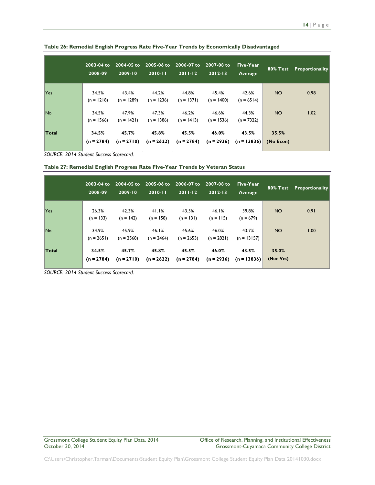|                | 2003-04 to<br>2008-09 | 2004-05 to<br>2009-10 | $2005 - 06$ to<br>$12010 - 11$ | 2006-07 to<br>$2011 - 12$ | 2007-08 to<br>$2012 - 13$ | Five-Year<br>Average                | $80\%$ Test        | <b>Proportionality</b> |
|----------------|-----------------------|-----------------------|--------------------------------|---------------------------|---------------------------|-------------------------------------|--------------------|------------------------|
| Yes            | 34.5%<br>$(n = 1218)$ | 43.4%<br>$(n = 1289)$ | 44.2%<br>$(n = 1236)$          | 44.8%<br>$(n = 1371)$     | 45.4%<br>$(n = 1400)$     | 42.6%<br>$(n = 6514)$               | <b>NO</b>          | 0.98                   |
| N <sub>o</sub> | 34.5%<br>$(n = 1566)$ | 47.9%<br>$(n = 1421)$ | 47.3%<br>$(n = 1386)$          | 46.2%<br>$(n = 1413)$     | 46.6%<br>$(n = 1536)$     | 44.3%<br>$(n = 7322)$               | <b>NO</b>          | 1.02                   |
| Total          | 34.5%<br>$(n = 2784)$ | 45.7%<br>$(n = 2710)$ | 45.8%<br>$(n = 2622)$          | 45.5%<br>$(n = 2784)$     | 46.0%                     | 43.5%<br>$(n = 2936)$ $(n = 13836)$ | 35.5%<br>(No Econ) |                        |

**Table 26: Remedial English Progress Rate Five-Year Trends by Economically Disadvantaged**

| Table 27: Remedial English Progress Rate Five-Year Trends by Veteran Status |  |  |
|-----------------------------------------------------------------------------|--|--|
|-----------------------------------------------------------------------------|--|--|

|       | 2003-04 to<br>2008-09 | 2004-05 to<br>2009-10 | 2005-06 to<br>$2010 - 11$ | 2006-07 to<br>$2011 - 12$ | $2007 - 08$ to<br>$2012 - 13$ | Five-Year<br>Average   |                    | 80% Test Proportionality |
|-------|-----------------------|-----------------------|---------------------------|---------------------------|-------------------------------|------------------------|--------------------|--------------------------|
| Yes   | 26.3%<br>$(n = 133)$  | 42.3%<br>$(n = 142)$  | 41.1%<br>$(n = 158)$      | 43.5%<br>$(n = 131)$      | 46.1%<br>$(n = 115)$          | 39.8%<br>$(n = 679)$   | NO <sub>1</sub>    | 0.91                     |
| No.   | 34.9%<br>$(n = 2651)$ | 45.9%<br>$(n = 2568)$ | 46.1%<br>$(n = 2464)$     | 45.6%<br>$(n = 2653)$     | 46.0%<br>$(n = 2821)$         | 43.7%<br>$(n = 13157)$ | NO <sub>1</sub>    | 1.00                     |
| Total | 34.5%<br>$(n = 2784)$ | 45.7%<br>$(n = 2710)$ | 45.8%<br>$(n = 2622)$     | 45.5%<br>$(n = 2784)$     | 46.0%<br>$(n = 2936)$         | 43.5%<br>$(n = 13836)$ | 35.0%<br>(Non Vet) |                          |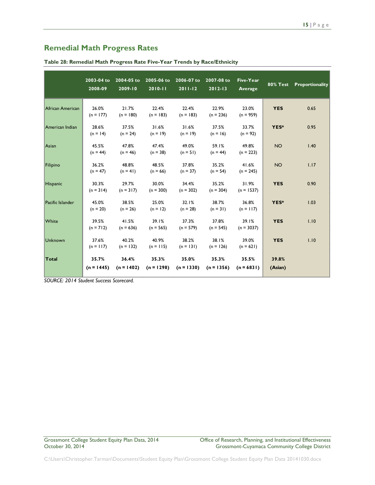### <span id="page-15-0"></span>**Remedial Math Progress Rates**

|                  | 2003-04 to<br>2008-09 | 2004-05 to<br>$2009 - 10$ | 2005-06 to<br>$2010 - 11$ | 2006-07 to<br>$2011 - 12$ | 2007-08 to<br>$2012 - 13$ | Five-Year<br>Average  | <b>80% Test</b>  | Proportionality |
|------------------|-----------------------|---------------------------|---------------------------|---------------------------|---------------------------|-----------------------|------------------|-----------------|
| African American | 26.0%<br>$(n = 177)$  | 21.7%<br>$(n = 180)$      | 22.4%<br>$(n = 183)$      | 22.4%<br>$(n = 183)$      | 22.9%<br>$(n = 236)$      | 23.0%<br>$(n = 959)$  | <b>YES</b>       | 0.65            |
| American Indian  | 28.6%<br>$(n = 14)$   | 37.5%<br>$(n = 24)$       | 31.6%<br>$(n = 19)$       | 31.6%<br>$(n = 19)$       | 37.5%<br>$(n = 16)$       | 33.7%<br>$(n = 92)$   | YES*             | 0.95            |
| Asian            | 45.5%<br>$(n = 44)$   | 47.8%<br>$(n = 46)$       | 47.4%<br>$(n = 38)$       | 49.0%<br>$(n = 51)$       | 59.1%<br>$(n = 44)$       | 49.8%<br>$(n = 223)$  | <b>NO</b>        | 1.40            |
| Filipino         | 36.2%<br>$(n = 47)$   | 48.8%<br>$(n = 41)$       | 48.5%<br>$(n = 66)$       | 37.8%<br>$(n = 37)$       | 35.2%<br>$(n = 54)$       | 41.6%<br>$(n = 245)$  | <b>NO</b>        | 1.17            |
| <b>Hispanic</b>  | 30.3%<br>$(n = 314)$  | 29.7%<br>$(n = 317)$      | 30.0%<br>$(n = 300)$      | 34.4%<br>$(n = 302)$      | 35.2%<br>$(n = 304)$      | 31.9%<br>$(n = 1537)$ | <b>YES</b>       | 0.90            |
| Pacific Islander | 45.0%<br>$(n = 20)$   | 38.5%<br>$(n = 26)$       | 25.0%<br>$(n = 12)$       | 32.1%<br>$(n = 28)$       | 38.7%<br>$(n = 31)$       | 36.8%<br>$(n = 117)$  | YES*             | 1.03            |
| White            | 39.5%<br>$(n = 712)$  | 41.5%<br>$(n = 636)$      | 39.1%<br>$(n = 565)$      | 37.3%<br>$(n = 579)$      | 37.8%<br>$(n = 545)$      | 39.1%<br>$(n = 3037)$ | <b>YES</b>       | 1.10            |
| <b>Unknown</b>   | 37.6%<br>$(n = 117)$  | 40.2%<br>$(n = 132)$      | 40.9%<br>$(n = 115)$      | 38.2%<br>$(n = 131)$      | 38.1%<br>$(n = 126)$      | 39.0%<br>$(n = 621)$  | <b>YES</b>       | 1.10            |
| Total            | 35.7%<br>$(n = 1445)$ | 36.4%<br>$(n = 1402)$     | 35.3%<br>$(n = 1298)$     | 35.0%<br>$(n = 1330)$     | 35.3%<br>$(n = 1356)$     | 35.5%<br>$(n = 6831)$ | 39.8%<br>(Asian) |                 |

**Table 28: Remedial Math Progress Rate Five-Year Trends by Race/Ethnicity**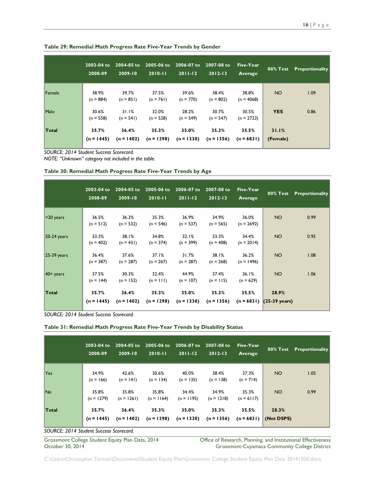|        | $2003 - 04$ to<br>2008-09 | 2004-05 to<br>2009-10 | 2005-06 to<br>$2010 - 11$ | 2006-07 to<br>$2011 - 12$ | 2007-08 to<br>$2012 - 13$ | Five-Year<br>Average  | $80\%$ Test       | <b>Proportionality</b> |
|--------|---------------------------|-----------------------|---------------------------|---------------------------|---------------------------|-----------------------|-------------------|------------------------|
| Female | 38.9%<br>$(n = 884)$      | 39.7%<br>$(n = 851)$  | 37.5%<br>$(n = 761)$      | 39.6%<br>$(n = 770)$      | 38.4%<br>$(n = 802)$      | 38.8%<br>$(n = 4068)$ | <b>NO</b>         | 1.09                   |
| Male   | 30.6%<br>$(n = 558)$      | 31.1%<br>$(n = 541)$  | 32.0%<br>$(n = 528)$      | 28.2%<br>$(n = 549)$      | 30.7%<br>$(n = 547)$      | 30.5%<br>$(n = 2723)$ | <b>YES</b>        | 0.86                   |
| Total  | 35.7%<br>$(n = 1445)$     | 36.4%<br>$(n = 1402)$ | 35.3%<br>$(n = 1298)$     | 35.0%<br>$(n = 1330)$     | 35.3%<br>$(n = 1356)$     | 35.5%<br>$(n = 6831)$ | 31.1%<br>(Female) |                        |

**Table 29: Remedial Math Progress Rate Five-Year Trends by Gender**

*NOTE: "Unknown" category not included in the table.*

#### **Table 30: Remedial Math Progress Rate Five-Year Trends by Age**

|               | 2003-04 to<br>2008-09 | 2004-05 to<br>2009-10 | 2005-06 to<br>$2010 - 11$ | 2006-07 to<br>$2011 - 12$ | 2007-08 to<br>$2012 - 13$ | Five-Year<br>Average  | <b>80% Test</b>                     | Proportionality |
|---------------|-----------------------|-----------------------|---------------------------|---------------------------|---------------------------|-----------------------|-------------------------------------|-----------------|
| $<$ 20 years  | 36.5%<br>$(n = 512)$  | 36.3%<br>$(n = 532)$  | 35.3%<br>$(n = 546)$      | 36.9%<br>$(n = 537)$      | 34.9%<br>$(n = 565)$      | 36.0%<br>$(n = 2692)$ | NO.                                 | 0.99            |
| $20-24$ years | 33.3%<br>$(n = 402)$  | 38.1%<br>$(n = 431)$  | 34.8%<br>$(n = 374)$      | 32.1%<br>$(n = 399)$      | 33.3%<br>$(n = 408)$      | 34.4%<br>$(n = 2014)$ | NO.                                 | 0.95            |
| $25-39$ years | 36.4%<br>$(n = 387)$  | 37.6%<br>$(n = 287)$  | 37.1%<br>$(n = 267)$      | 31.7%<br>$(n = 287)$      | 38.1%<br>$(n = 268)$      | 36.2%<br>$(n = 1496)$ | NO.                                 | 1.08            |
| $40+$ years   | 37.5%<br>$(n = 144)$  | 30.3%<br>$(n = 152)$  | 32.4%<br>$(n = 111)$      | 44.9%<br>$(n = 107)$      | 37.4%<br>$(n = 115)$      | 36.1%<br>$(n = 629)$  | NO.                                 | 1.06            |
| <b>Total</b>  | 35.7%<br>$(n = 1445)$ | 36.4%<br>$(n = 1402)$ | 35.3%<br>$(n = 1298)$     | 35.0%<br>$(n = 1330)$     | 35.3%<br>$(n = 1356)$     | 35.5%                 | 28.9%<br>$(n = 6831)$ (25-39 years) |                 |
|               |                       |                       |                           |                           |                           |                       |                                     |                 |

*SOURCE: 2014 Student Success Scorecard.*

#### **Table 31: Remedial Math Progress Rate Five-Year Trends by Disability Status**

|       | 2003-04 to<br>2008-09 | $2004 - 05$ to<br>$2009 - 10$                     | 2005-06 to<br>$2010 - 11$ | 2006-07 to<br>$2011 - 12$ | 2007-08 to<br>$2012 - 13$ | Five-Year<br>Average  |                     | <b>80% Test</b> Proportionality |
|-------|-----------------------|---------------------------------------------------|---------------------------|---------------------------|---------------------------|-----------------------|---------------------|---------------------------------|
| Yes   | 34.9%<br>$(n = 166)$  | 42.6%<br>$(n = 141)$                              | 30.6%<br>$(n = 134)$      | 40.0%<br>$(n = 135)$      | 38.4%<br>$(n = 138)$      | 37.3%<br>$(n = 714)$  | NO <sub>1</sub>     | 1.05                            |
| No.   | 35.8%<br>$(n = 1279)$ | 35.8%<br>$(n = 1261)$                             | 35.8%<br>$(n = 1164)$     | 34.4%<br>$(n = 1195)$     | 34.9%<br>$(n = 1218)$     | 35.3%<br>$(n = 6117)$ | <b>NO</b>           | 0.99                            |
| Total | 35.7%<br>$(n = 1445)$ | 36.4%<br>$(n = 1402)$<br>$\overline{\phantom{a}}$ | 35.3%<br>$(n = 1298)$     | 35.0%<br>$(n = 1330)$     | 35.3%<br>$(n = 1356)$     | 35.5%<br>$(n = 6831)$ | 28.3%<br>(Not DSPS) |                                 |

*SOURCE: 2014 Student Success Scorecard.*

Grossmont College Student Equity Plan Data, 2014 Office of Research, Planning, and Institutional Effectiveness<br>October 30, 2014 Grossmont-Cuyamaca Community College District Grossmont-Cuyamaca Community College District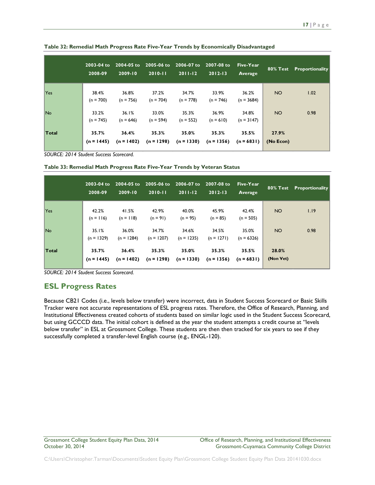|                | 2003-04 to<br>2008-09 | 2004-05 to<br>$2009 - 10$ | $2005 - 06$ to<br>$2010 - 11$ | 2006-07 to<br>$2011 - 12$ | 2007-08 to<br>$2012 - 13$ | Five-Year<br>Average  | 80% Test           | Proportionality |
|----------------|-----------------------|---------------------------|-------------------------------|---------------------------|---------------------------|-----------------------|--------------------|-----------------|
| Yes            | 38.4%<br>$(n = 700)$  | 36.8%<br>$(n = 756)$      | 37.2%<br>$(n = 704)$          | 34.7%<br>$(n = 778)$      | 33.9%<br>$(n = 746)$      | 36.2%<br>$(n = 3684)$ | <b>NO</b>          | 1.02            |
| N <sub>o</sub> | 33.2%<br>$(n = 745)$  | 36.1%<br>$(n = 646)$      | 33.0%<br>$(n = 594)$          | 35.3%<br>$(n = 552)$      | 36.9%<br>$(n = 610)$      | 34.8%<br>$(n = 3147)$ | <b>NO</b>          | 0.98            |
| Total          | 35.7%<br>$(n = 1445)$ | 36.4%<br>$(n = 1402)$     | 35.3%<br>$(n = 1298)$         | 35.0%<br>$(n = 1330)$     | 35.3%<br>$(n = 1356)$     | 35.5%<br>$(n = 6831)$ | 27.9%<br>(No Econ) |                 |

**Table 32: Remedial Math Progress Rate Five-Year Trends by Economically Disadvantaged**

**Table 33: Remedial Math Progress Rate Five-Year Trends by Veteran Status**

|       | 2003-04 to<br>2008-09 | 2004-05 to<br>2009-10 | 2005-06 to<br>$2010 - 11$ | 2006-07 to<br>$2011 - 12$ | 2007-08 to<br>$2012 - 13$ | Five-Year<br>Average  | 80% Test           | Proportionality |
|-------|-----------------------|-----------------------|---------------------------|---------------------------|---------------------------|-----------------------|--------------------|-----------------|
| Yes   | 42.2%<br>$(n = 116)$  | 41.5%<br>$(n = 118)$  | 42.9%<br>$(n = 91)$       | 40.0%<br>$(n = 95)$       | 45.9%<br>$(n = 85)$       | 42.4%<br>$(n = 505)$  | NO <sub>1</sub>    | 1.19            |
| No.   | 35.1%<br>$(n = 1329)$ | 36.0%<br>$(n = 1284)$ | 34.7%<br>$(n = 1207)$     | 34.6%<br>$(n = 1235)$     | 34.5%<br>$(n = 1271)$     | 35.0%<br>$(n = 6326)$ | NO <sub>1</sub>    | 0.98            |
| Total | 35.7%<br>$(n = 1445)$ | 36.4%<br>$(n = 1402)$ | 35.3%<br>$(n = 1298)$     | 35.0%<br>$(n = 1330)$     | 35.3%<br>$(n = 1356)$     | 35.5%<br>$(n = 6831)$ | 28.0%<br>(Non Vet) |                 |

*SOURCE: 2014 Student Success Scorecard.*

### <span id="page-17-0"></span>**ESL Progress Rates**

Because CB21 Codes (i.e., levels below transfer) were incorrect, data in Student Success Scorecard or Basic Skills Tracker were not accurate representations of ESL progress rates. Therefore, the Office of Research, Planning, and Institutional Effectiveness created cohorts of students based on similar logic used in the Student Success Scorecard, but using GCCCD data. The initial cohort is defined as the year the student attempts a credit course at "levels below transfer" in ESL at Grossmont College. These students are then then tracked for six years to see if they successfully completed a transfer-level English course (e.g., ENGL-120).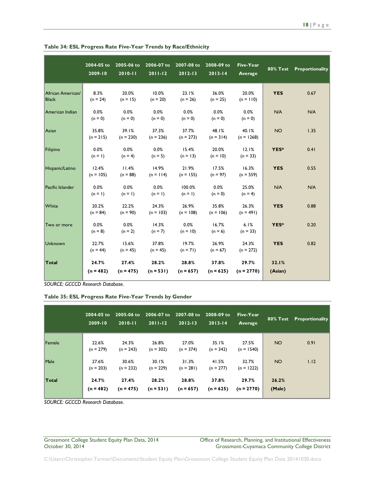|                                   | 2004-05 to<br>2009-10 | 2005-06 to<br>2010-11 | 2006-07 to<br>$2011 - 12$ | 2007-08 to<br>$2012 - 13$ | 2008-09 to<br>$2013 - 14$ | <b>Five-Year</b><br><b>Average</b> | <b>80% Test</b>  | Proportionality |
|-----------------------------------|-----------------------|-----------------------|---------------------------|---------------------------|---------------------------|------------------------------------|------------------|-----------------|
| African American/<br><b>Black</b> | 8.3%<br>$(n = 24)$    | 20.0%<br>$(n = 15)$   | 10.0%<br>$(n = 20)$       | 23.1%<br>$(n = 26)$       | 36.0%<br>$(n = 25)$       | 20.0%<br>$(n = 110)$               | <b>YES</b>       | 0.67            |
| American Indian                   | 0.0%<br>$(n = 0)$     | 0.0%<br>$(n = 0)$     | 0.0%<br>$(n = 0)$         | 0.0%<br>$(n = 0)$         | 0.0%<br>$(n = 0)$         | 0.0%<br>$(n = 0)$                  | N/A              | N/A             |
| Asian                             | 35.8%<br>$(n = 215)$  | 39.1%<br>$(n = 230)$  | 37.3%<br>$(n = 236)$      | 37.7%<br>$(n = 273)$      | 48.1%<br>$(n = 314)$      | 40.1%<br>$(n = 1268)$              | <b>NO</b>        | 1.35            |
| Filipino                          | 0.0%<br>$(n = 1)$     | 0.0%<br>$(n = 4)$     | 0.0%<br>$(n = 5)$         | 15.4%<br>$(n = 13)$       | 20.0%<br>$(n = 10)$       | 12.1%<br>$(n = 33)$                | YES*             | 0.41            |
| Hispanic/Latino                   | 12.4%<br>$(n = 105)$  | 11.4%<br>$(n = 88)$   | 14.9%<br>$(n = 114)$      | 21.9%<br>$(n = 155)$      | 17.5%<br>$(n = 97)$       | 16.3%<br>$(n = 559)$               | <b>YES</b>       | 0.55            |
| Pacific Islander                  | 0.0%<br>$(n = 1)$     | 0.0%<br>$(n = 1)$     | 0.0%<br>$(n = 1)$         | 100.0%<br>$(n = 1)$       | 0.0%<br>$(n = 0)$         | 25.0%<br>$(n = 4)$                 | N/A              | N/A             |
| White                             | 20.2%<br>$(n = 84)$   | 22.2%<br>$(n = 90)$   | 24.3%<br>$(n = 103)$      | 26.9%<br>$(n = 108)$      | 35.8%<br>$(n = 106)$      | 26.3%<br>$(n = 491)$               | <b>YES</b>       | 0.88            |
| Two or more                       | 0.0%<br>$(n = 8)$     | 0.0%<br>$(n = 2)$     | 14.3%<br>$(n = 7)$        | 0.0%<br>$(n = 10)$        | 16.7%<br>$(n = 6)$        | 6.1%<br>$(n = 33)$                 | YES*             | 0.20            |
| <b>Unknown</b>                    | 22.7%<br>$(n = 44)$   | 15.6%<br>$(n = 45)$   | 37.8%<br>$(n = 45)$       | 19.7%<br>$(n = 71)$       | 26.9%<br>$(n = 67)$       | 24.3%<br>$(n = 272)$               | <b>YES</b>       | 0.82            |
| Total                             | 24.7%<br>$(n = 482)$  | 27.4%<br>$(n = 475)$  | 28.2%<br>$(n = 531)$      | 28.8%<br>$(n = 657)$      | 37.8%<br>$(n = 625)$      | 29.7%<br>$(n = 2770)$              | 32.1%<br>(Asian) |                 |

**Table 34: ESL Progress Rate Five-Year Trends by Race/Ethnicity**

*SOURCE: GCCCD Research Database.*

**Table 35: ESL Progress Rate Five-Year Trends by Gender**

|              | 2004-05 to<br>2009-10 | $2010 - 11$          | 2005-06 to 2006-07 to<br>$2011 - 12$ | 2007-08 to<br>$2012 - 13$ | 2008-09 to<br>$2013 - 14$ | Five-Year<br>Average  | 80% Test        | Proportionality |
|--------------|-----------------------|----------------------|--------------------------------------|---------------------------|---------------------------|-----------------------|-----------------|-----------------|
| Female       | 22.6%<br>$(n = 279)$  | 24.3%<br>$(n = 243)$ | 26.8%<br>$(n = 302)$                 | 27.0%<br>$(n = 374)$      | 35.1%<br>$(n = 342)$      | 27.5%<br>$(n = 1540)$ | <b>NO</b>       | 0.91            |
| Male         | 27.6%<br>$(n = 203)$  | 30.6%<br>$(n = 232)$ | 30.1%<br>$(n = 229)$                 | 31.3%<br>$(n = 281)$      | 41.5%<br>$(n = 277)$      | 32.7%<br>$(n = 1222)$ | <b>NO</b>       | 1.12            |
| <b>Total</b> | 24.7%<br>$(n = 482)$  | 27.4%<br>$(n = 475)$ | 28.2%<br>$(n = 531)$                 | 28.8%<br>$(n = 657)$      | 37.8%<br>$(n = 625)$      | 29.7%<br>$(n = 2770)$ | 26.2%<br>(Male) |                 |

*SOURCE: GCCCD Research Database.*

#### Grossmont College Student Equity Plan Data, 2014 Office of Research, Planning, and Institutional Effectiveness<br>October 30, 2014 Ottober 30, 2014 Grossmont-Cuyamaca Community College District Grossmont-Cuyamaca Community College District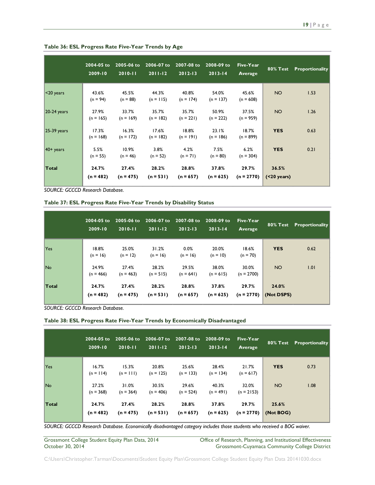|               | 2004-05 to<br>2009-10 | 2005-06 to<br>$2010 - 11$ | 2006-07 to<br>$2011 - 12$ | 2007-08 to<br>$2012 - 13$ | 2008-09 to<br>$2013 - 14$ | Five-Year<br>Average  | <b>80% Test</b>          | <b>Proportionality</b> |
|---------------|-----------------------|---------------------------|---------------------------|---------------------------|---------------------------|-----------------------|--------------------------|------------------------|
| $ $ <20 years | 43.6%<br>$(n = 94)$   | 45.5%<br>$(n = 88)$       | 44.3%<br>$(n = 115)$      | 40.8%<br>$(n = 174)$      | 54.0%<br>$(n = 137)$      | 45.6%<br>$(n = 608)$  | <b>NO</b>                | 1.53                   |
| $20-24$ years | 27.9%<br>$(n = 165)$  | 33.7%<br>$(n = 169)$      | 35.7%<br>$(n = 182)$      | 35.7%<br>$(n = 221)$      | 50.9%<br>$(n = 222)$      | 37.5%<br>$(n = 959)$  | <b>NO</b>                | 1.26                   |
| $25-39$ years | 17.3%<br>$(n = 168)$  | 16.3%<br>$(n = 172)$      | 17.6%<br>$(n = 182)$      | 18.8%<br>$(n = 191)$      | 23.1%<br>$(n = 186)$      | 18.7%<br>$(n = 899)$  | <b>YES</b>               | 0.63                   |
| $40+$ years   | 5.5%<br>$(n = 55)$    | 10.9%<br>$(n = 46)$       | 3.8%<br>$(n = 52)$        | 4.2%<br>$(n = 71)$        | 7.5%<br>$(n = 80)$        | 6.2%<br>$(n = 304)$   | <b>YES</b>               | 0.21                   |
| Total         | 24.7%<br>$(n = 482)$  | 27.4%<br>$(n = 475)$      | 28.2%<br>$(n = 531)$      | 28.8%<br>$(n = 657)$      | 37.8%<br>$(n = 625)$      | 29.7%<br>$(n = 2770)$ | 36.5%<br>$( < 20$ years) |                        |

**Table 36: ESL Progress Rate Five-Year Trends by Age**

*SOURCE: GCCCD Research Database.*

|  | Table 37: ESL Progress Rate Five-Year Trends by Disability Status |  |  |  |  |
|--|-------------------------------------------------------------------|--|--|--|--|
|--|-------------------------------------------------------------------|--|--|--|--|

|       | 2004-05 to<br>2009-10 | $2005 - 06$ to<br>$2010 - 11$ | 2006-07 to<br>$2011-12$ | 2007-08 to<br>$2012 - 13$ | 2008-09 to<br>$2013 - 14$ | Five-Year<br>Average  | 80% Test            | Proportionality |
|-------|-----------------------|-------------------------------|-------------------------|---------------------------|---------------------------|-----------------------|---------------------|-----------------|
| Yes   | 18.8%<br>$(n = 16)$   | 25.0%<br>$(n = 12)$           | 31.2%<br>$(n = 16)$     | 0.0%<br>$(n = 16)$        | 20.0%<br>$(n = 10)$       | 18.6%<br>$(n = 70)$   | <b>YES</b>          | 0.62            |
| No.   | 24.9%<br>$(n = 466)$  | 27.4%<br>$(n = 463)$          | 28.2%<br>$(n = 515)$    | 29.5%<br>$(n = 641)$      | 38.0%<br>$(n = 615)$      | 30.0%<br>$(n = 2700)$ | NO.                 | 1.01            |
| Total | 24.7%<br>$(n = 482)$  | 27.4%<br>$(n = 475)$          | 28.2%<br>$(n = 531)$    | 28.8%<br>$(n = 657)$      | 37.8%<br>$(n = 625)$      | 29.7%<br>$(n = 2770)$ | 24.0%<br>(Not DSPS) |                 |

*SOURCE: GCCCD Research Database.*

**Table 38: ESL Progress Rate Five-Year Trends by Economically Disadvantaged**

|            | 2004-05 to<br>2009-10 | 2005-06 to<br>$2010 - 11$ | 2006-07 to<br>$2011 - 12$ | 2007-08 to<br>$2012 - 13$ | $2008 - 09$ to<br>$2013 - 14$ | Five-Year<br>Average  | <b>80% Test</b>    | Proportionality |
|------------|-----------------------|---------------------------|---------------------------|---------------------------|-------------------------------|-----------------------|--------------------|-----------------|
| <b>Yes</b> | 16.7%<br>$(n = 114)$  | 15.3%<br>$(n = 111)$      | 20.8%<br>$(n = 125)$      | 25.6%<br>$(n = 133)$      | 28.4%<br>$(n = 134)$          | 21.7%<br>$(n = 617)$  | <b>YES</b>         | 0.73            |
| No.        | 27.2%<br>$(n = 368)$  | 31.0%<br>$(n = 364)$      | 30.5%<br>$(n = 406)$      | 29.6%<br>$(n = 524)$      | 40.3%<br>$(n = 491)$          | 32.0%<br>$(n = 2153)$ | NO <sub>1</sub>    | 1.08            |
| Total      | 24.7%<br>$(n = 482)$  | 27.4%<br>$(n = 475)$      | 28.2%<br>$(n = 531)$      | 28.8%<br>$(n = 657)$      | 37.8%<br>$(n = 625)$          | 29.7%<br>$(n = 2770)$ | 25.6%<br>(Not BOG) |                 |

*SOURCE: GCCCD Research Database. Economically disadvantaged category includes those students who received a BOG waiver.*

Grossmont College Student Equity Plan Data, 2014 College Office of Research, Planning, and Institutional Effectiveness<br>October 30, 2014 Crossmont-Cuyamaca Community College District Grossmont-Cuyamaca Community College District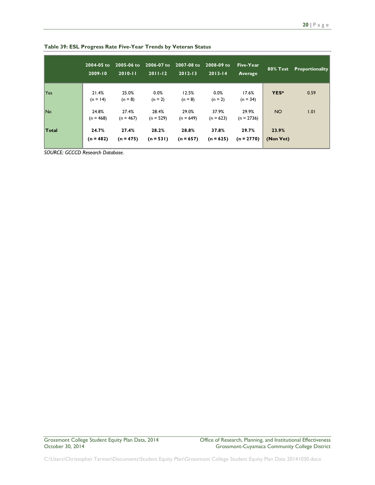|              | 2004-05 to<br>2009-10 | 2005-06 to<br>$2010 - 11$ | 2006-07 to<br>$2011 - 12$ | 2007-08 to<br>$2012 - 13$ | 2008-09 to<br>$2013 - 14$ | Five-Year<br>Average  | 80% Test           | <b>Proportionality</b> |
|--------------|-----------------------|---------------------------|---------------------------|---------------------------|---------------------------|-----------------------|--------------------|------------------------|
| Yes          | 21.4%<br>$(n = 14)$   | 25.0%<br>$(n = 8)$        | 0.0%<br>$(n = 2)$         | 12.5%<br>$(n = 8)$        | 0.0%<br>$(n = 2)$         | 17.6%<br>$(n = 34)$   | YES*               | 0.59                   |
| No.          | 24.8%<br>$(n = 468)$  | 27.4%<br>$(n = 467)$      | 28.4%<br>$(n = 529)$      | 29.0%<br>$(n = 649)$      | 37.9%<br>$(n = 623)$      | 29.9%<br>$(n = 2736)$ | <b>NO</b>          | 1.01                   |
| <b>Total</b> | 24.7%<br>$(n = 482)$  | 27.4%<br>$(n = 475)$      | 28.2%<br>$(n = 531)$      | 28.8%<br>$(n = 657)$      | 37.8%<br>$(n = 625)$      | 29.7%<br>$(n = 2770)$ | 23.9%<br>(Non Vet) |                        |

**Table 39: ESL Progress Rate Five-Year Trends by Veteran Status**

*SOURCE: GCCCD Research Database.*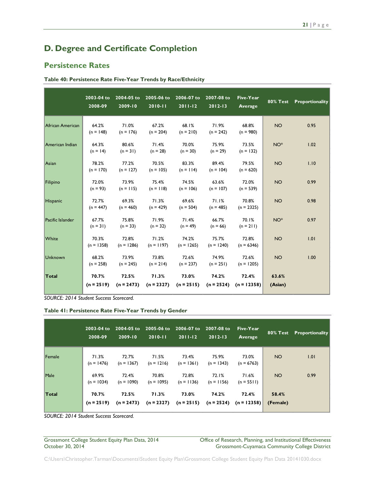# <span id="page-21-0"></span>**D. Degree and Certificate Completion**

### <span id="page-21-1"></span>**Persistence Rates**

| Table 40: Persistence Rate Five-Year Trends by Race/Ethnicity |  |  |  |
|---------------------------------------------------------------|--|--|--|
|---------------------------------------------------------------|--|--|--|

|                  | 2003-04 to<br>2008-09 | 2004-05 to<br>$2009 - 10$ | 2005-06 to<br>$2010 - 11$ | 2006-07 to<br>$2011 - 12$ | 2007-08 to<br>$2012 - 13$ | <b>Five-Year</b><br>Average | <b>80% Test</b>  | Proportionality |
|------------------|-----------------------|---------------------------|---------------------------|---------------------------|---------------------------|-----------------------------|------------------|-----------------|
| African American | 64.2%<br>$(n = 148)$  | 71.0%<br>$(n = 176)$      | 67.2%<br>$(n = 204)$      | 68.1%<br>$(n = 210)$      | 71.9%<br>$(n = 242)$      | 68.8%<br>$(n = 980)$        | <b>NO</b>        | 0.95            |
| American Indian  | 64.3%<br>$(n = 14)$   | 80.6%<br>$(n = 31)$       | 71.4%<br>$(n = 28)$       | 70.0%<br>$(n = 30)$       | 75.9%<br>$(n = 29)$       | 73.5%<br>$(n = 132)$        | NO <sup>*</sup>  | 1.02            |
| Asian            | 78.2%<br>$(n = 170)$  | 77.2%<br>$(n = 127)$      | 70.5%<br>$(n = 105)$      | 83.3%<br>$(n = 114)$      | 89.4%<br>$(n = 104)$      | 79.5%<br>$(n = 620)$        | <b>NO</b>        | 1.10            |
| Filipino         | 72.0%<br>$(n = 93)$   | 73.9%<br>$(n = 115)$      | 75.4%<br>$(n = 118)$      | 74.5%<br>$(n = 106)$      | 63.6%<br>$(n = 107)$      | 72.0%<br>$(n = 539)$        | <b>NO</b>        | 0.99            |
| Hispanic         | 72.7%<br>$(n = 447)$  | 69.3%<br>$(n = 460)$      | 71.3%<br>$(n = 429)$      | 69.6%<br>$(n = 504)$      | 71.1%<br>$(n = 485)$      | 70.8%<br>$(n = 2325)$       | <b>NO</b>        | 0.98            |
| Pacific Islander | 67.7%<br>$(n = 31)$   | 75.8%<br>$(n = 33)$       | 71.9%<br>$(n = 32)$       | 71.4%<br>$(n = 49)$       | 66.7%<br>$(n = 66)$       | 70.1%<br>$(n = 211)$        | NO <sup>*</sup>  | 0.97            |
| White            | 70.3%<br>$(n = 1358)$ | 72.8%<br>$(n = 1286)$     | 71.2%<br>$(n = 1197)$     | 74.2%<br>$(n = 1265)$     | 75.7%<br>$(n = 1240)$     | 72.8%<br>$(n = 6346)$       | <b>NO</b>        | 1.01            |
| <b>Unknown</b>   | 68.2%<br>$(n = 258)$  | 73.9%<br>$(n = 245)$      | 73.8%<br>$(n = 214)$      | 72.6%<br>$(n = 237)$      | 74.9%<br>$(n = 251)$      | 72.6%<br>$(n = 1205)$       | <b>NO</b>        | 1.00            |
| Total            | 70.7%<br>$(n = 2519)$ | 72.5%<br>$(n = 2473)$     | 71.3%<br>$(n = 2327)$     | 73.0%<br>$(n = 2515)$     | 74.2%<br>$(n = 2524)$     | 72.4%<br>$(n = 12358)$      | 63.6%<br>(Asian) |                 |

*SOURCE: 2014 Student Success Scorecard.*

#### **Table 41: Persistence Rate Five-Year Trends by Gender**

|        | 2003-04 to<br>2008-09 | 2004-05 to<br>$2009 - 10$ | $2005 - 06$ to<br>$2010 - 11$ | 2006-07 to<br>$2011 - 12$ | 2007-08 to<br>$2012 - 13$ | Five-Year<br>Average   | 80% Test          | Proportionality |
|--------|-----------------------|---------------------------|-------------------------------|---------------------------|---------------------------|------------------------|-------------------|-----------------|
| Female | 71.3%<br>$(n = 1476)$ | 72.7%<br>$(n = 1367)$     | 71.5%<br>$(n = 1216)$         | 73.4%<br>$(n = 1361)$     | 75.9%<br>$(n = 1343)$     | 73.0%<br>$(n = 6763)$  | NO <sub>1</sub>   | 1.01            |
| Male   | 69.9%<br>$(n = 1034)$ | 72.4%<br>$(n = 1090)$     | 70.8%<br>$(n = 1095)$         | 72.8%<br>$(n = 1136)$     | 72.1%<br>$(n = 1156)$     | 71.6%<br>$(n = 5511)$  | NO <sub>1</sub>   | 0.99            |
| Total  | 70.7%<br>$(n = 2519)$ | 72.5%<br>$(n = 2473)$     | 71.3%<br>$(n = 2327)$         | 73.0%<br>$(n = 2515)$     | 74.2%<br>$(n = 2524)$     | 72.4%<br>$(n = 12358)$ | 58.4%<br>(Female) |                 |

*SOURCE: 2014 Student Success Scorecard.*

Grossmont College Student Equity Plan Data, 2014 Office of Research, Planning, and Institutional Effectiveness<br>October 30, 2014 Ottober 30, 2014 Grossmont-Cuyamaca Community College District Grossmont-Cuyamaca Community College District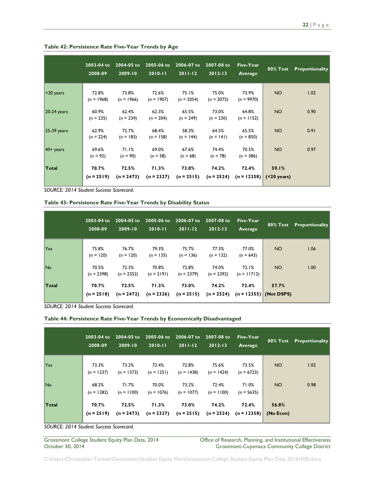|               | 2003-04 to<br>2008-09 | 2004-05 to<br>$2009 - 10$ | 2005-06 to<br>$2010 - 11$ | 2006-07 to<br>$2011 - 12$ | 2007-08 to<br>$2012 - 13$ | <b>Five-Year</b><br>Average | <b>80% Test</b>          | <b>Proportionality</b> |
|---------------|-----------------------|---------------------------|---------------------------|---------------------------|---------------------------|-----------------------------|--------------------------|------------------------|
| $ $ <20 years | 72.8%<br>$(n = 1968)$ | 73.8%<br>$(n = 1966)$     | 72.6%<br>$(n = 1907)$     | 75.1%<br>$(n = 2054)$     | 75.0%<br>$(n = 2075)$     | 73.9%<br>$(n = 9970)$       | NO <sub>1</sub>          | 1.02                   |
| $20-24$ years | 60.9%<br>$(n = 235)$  | 62.4%<br>$(n = 234)$      | 62.3%<br>$(n = 204)$      | 65.5%<br>$(n = 249)$      | 73.0%<br>$(n = 230)$      | 64.8%<br>$(n = 1152)$       | <b>NO</b>                | 0.90                   |
| $25-39$ years | 62.9%<br>$(n = 224)$  | 72.7%<br>$(n = 183)$      | 68.4%<br>$(n = 158)$      | 58.3%<br>$(n = 144)$      | 64.5%<br>$(n = 141)$      | 65.5%<br>$(n = 850)$        | NO <sub>1</sub>          | 0.91                   |
| $40+$ years   | 69.6%<br>$(n = 92)$   | 71.1%<br>$(n = 90)$       | 69.0%<br>$(n = 58)$       | 67.6%<br>$(n = 68)$       | 74.4%<br>$(n = 78)$       | 70.5%<br>$(n = 386)$        | <b>NO</b>                | 0.97                   |
| Total         | 70.7%<br>$(n = 2519)$ | 72.5%<br>$(n = 2473)$     | 71.3%<br>$(n = 2327)$     | 73.0%<br>$(n = 2515)$     | 74.2%<br>$(n = 2524)$     | 72.4%<br>$(n = 12358)$      | 59.1%<br>$( < 20$ years) |                        |

#### **Table 42: Persistence Rate Five-Year Trends by Age**

*SOURCE: 2014 Student Success Scorecard.*

**Table 43: Persistence Rate Five-Year Trends by Disability Status**

|       | 2003-04 to<br>2008-09 | 2004-05 to<br>2009-10 | 2005-06 to<br>$2010 - 11$ | 2006-07 to<br>$2011 - 12$ | 2007-08 to<br>$2012 - 13$ | Five-Year<br>Average              |                 | <b>80% Test</b> Proportionality |
|-------|-----------------------|-----------------------|---------------------------|---------------------------|---------------------------|-----------------------------------|-----------------|---------------------------------|
| Yes   | 75.8%<br>$(n = 120)$  | 76.7%<br>$(n = 120)$  | 79.3%<br>$(n = 135)$      | 75.7%<br>$(n = 136)$      | 77.3%<br>$(n = 132)$      | 77.0%<br>$(n = 643)$              | <b>NO</b>       | 1.06                            |
| No.   | 70.5%<br>$(n = 2398)$ | 72.3%<br>$(n = 2352)$ | 70.8%<br>$(n = 2191)$     | 72.8%<br>$(n = 2379)$     | 74.0%<br>$(n = 2392)$     | 72.1%<br>$(n = 11712)$            | NO <sub>1</sub> | 1.00                            |
| Total | 70.7%<br>$(n = 2518)$ | 72.5%<br>$(n = 2472)$ | 71.3%<br>$(n = 2326)$     | 73.0%<br>$(n = 2515)$     | 74.2%<br>$(n = 2524)$     | 72.4%<br>$(n = 12355)$ (Not DSPS) | 57.7%           |                                 |

*SOURCE: 2014 Student Success Scorecard.*

#### **Table 44: Persistence Rate Five-Year Trends by Economically Disadvantaged**

|       | $2003 - 04$ to<br>2008-09 | $2009 - 10$           | 2004-05 to 2005-06 to<br>$2010 - 11$ | 2006-07 to<br>$2011-12$ | 2007-08 to<br>$2012 - 13$ | Five-Year<br>Average                |                    | <b>80% Test Proportionality</b> |
|-------|---------------------------|-----------------------|--------------------------------------|-------------------------|---------------------------|-------------------------------------|--------------------|---------------------------------|
| Yes   | 73.3%<br>$(n = 1237)$     | 73.2%<br>$(n = 1373)$ | 72.4%<br>$(n = 1251)$                | 72.8%<br>$(n = 1438)$   | 75.6%<br>$(n = 1424)$     | 73.5%<br>$(n = 6723)$               | <b>NO</b>          | 1.02                            |
| No.   | 68.2%<br>$(n = 1282)$     | 71.7%<br>$(n = 1100)$ | 70.0%<br>$(n = 1076)$                | 73.2%<br>$(n = 1077)$   | 72.4%<br>$(n = 1100)$     | 71.0%<br>$(n = 5635)$               | <b>NO</b>          | 0.98                            |
| Total | 70.7%<br>$(n = 2519)$     | 72.5%<br>$(n = 2473)$ | 71.3%<br>$(n = 2327)$                | 73.0%<br>$(n = 2515)$   | 74.2%                     | 72.4%<br>$(n = 2524)$ $(n = 12358)$ | 56.8%<br>(No Econ) |                                 |

*SOURCE: 2014 Student Success Scorecard.*

Grossmont College Student Equity Plan Data, 2014 Office of Research, Planning, and Institutional Effectiveness<br>October 30, 2014 Ottober 30, 2014 Grossmont-Cuyamaca Community College District Grossmont-Cuyamaca Community College District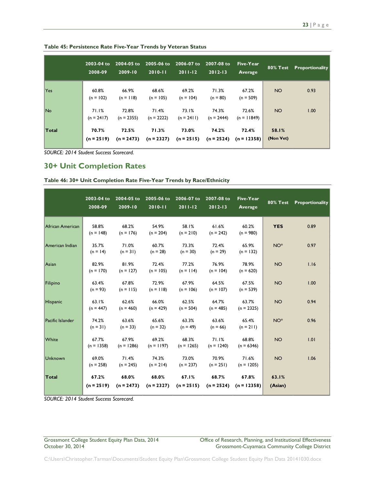|              | 2003-04 to<br>2008-09 | $2004 - 05$ to<br>$2009 - 10$ | 2005-06 to<br>$2010 - 11$ | 2006-07 to<br>$2011 - 12$ | 2007-08 to<br>$2012 - 13$ | Five-Year<br>Average   | 80% Test           | Proportionality |
|--------------|-----------------------|-------------------------------|---------------------------|---------------------------|---------------------------|------------------------|--------------------|-----------------|
| Yes          | 60.8%<br>$(n = 102)$  | 66.9%<br>$(n = 118)$          | 68.6%<br>$(n = 105)$      | 69.2%<br>$(n = 104)$      | 71.3%<br>$(n = 80)$       | 67.2%<br>$(n = 509)$   | <b>NO</b>          | 0.93            |
| No.          | 71.1%<br>$(n = 2417)$ | 72.8%<br>$(n = 2355)$         | 71.4%<br>$(n = 2222)$     | 73.1%<br>$(n = 2411)$     | 74.3%<br>$(n = 2444)$     | 72.6%<br>$(n = 11849)$ | <b>NO</b>          | 1.00            |
| <b>Total</b> | 70.7%<br>$(n = 2519)$ | 72.5%<br>$(n = 2473)$         | 71.3%<br>$(n = 2327)$     | 73.0%<br>$(n = 2515)$     | 74.2%<br>$(n = 2524)$     | 72.4%<br>$(n = 12358)$ | 58.1%<br>(Non Vet) |                 |

**Table 45: Persistence Rate Five-Year Trends by Veteran Status**

### <span id="page-23-0"></span>**30+ Unit Completion Rates**

|                  | 2003-04 to<br>2008-09 | 2004-05 to<br>2009-10 | 2005-06 to<br>2010-11 | 2006-07 to<br>$2011 - 12$ | 2007-08 to<br>$2012 - 13$           | Five-Year<br>Average  | $80%$ Test       | Proportionality |
|------------------|-----------------------|-----------------------|-----------------------|---------------------------|-------------------------------------|-----------------------|------------------|-----------------|
| African American | 58.8%<br>$(n = 148)$  | 68.2%<br>$(n = 176)$  | 54.9%<br>$(n = 204)$  | 58.1%<br>$(n = 210)$      | 61.6%<br>$(n = 242)$                | 60.2%<br>$(n = 980)$  | <b>YES</b>       | 0.89            |
| American Indian  | 35.7%<br>$(n = 14)$   | 71.0%<br>$(n = 31)$   | 60.7%<br>$(n = 28)$   | 73.3%<br>$(n = 30)$       | 72.4%<br>$(n = 29)$                 | 65.9%<br>$(n = 132)$  | NO <sup>*</sup>  | 0.97            |
| Asian            | 82.9%<br>$(n = 170)$  | 81.9%<br>$(n = 127)$  | 72.4%<br>$(n = 105)$  | 77.2%<br>$(n = 114)$      | 76.9%<br>$(n = 104)$                | 78.9%<br>$(n = 620)$  | <b>NO</b>        | 1.16            |
| Filipino         | 63.4%<br>$(n = 93)$   | 67.8%<br>$(n = 115)$  | 72.9%<br>$(n = 118)$  | 67.9%<br>$(n = 106)$      | 64.5%<br>$(n = 107)$                | 67.5%<br>$(n = 539)$  | <b>NO</b>        | 1.00            |
| Hispanic         | 63.1%<br>$(n = 447)$  | 62.6%<br>$(n = 460)$  | 66.0%<br>$(n = 429)$  | 62.5%<br>$(n = 504)$      | 64.7%<br>$(n = 485)$                | 63.7%<br>$(n = 2325)$ | <b>NO</b>        | 0.94            |
| Pacific Islander | 74.2%<br>$(n = 31)$   | 63.6%<br>$(n = 33)$   | 65.6%<br>$(n = 32)$   | 63.3%<br>$(n = 49)$       | 63.6%<br>$(n = 66)$                 | 65.4%<br>$(n = 211)$  | NO <sup>*</sup>  | 0.96            |
| White            | 67.7%<br>$(n = 1358)$ | 67.9%<br>$(n = 1286)$ | 69.2%<br>$(n = 1197)$ | 68.3%<br>$(n = 1265)$     | 71.1%<br>$(n = 1240)$               | 68.8%<br>$(n = 6346)$ | <b>NO</b>        | 1.01            |
| Unknown          | 69.0%<br>$(n = 258)$  | 71.4%<br>$(n = 245)$  | 74.3%<br>$(n = 214)$  | 73.0%<br>$(n = 237)$      | 70.9%<br>$(n = 251)$                | 71.6%<br>$(n = 1205)$ | <b>NO</b>        | 1.06            |
| Total            | 67.2%<br>$(n = 2519)$ | 68.0%<br>$(n = 2473)$ | 68.0%<br>$(n = 2327)$ | 67.1%<br>$(n = 2515)$     | 68.7%<br>$(n = 2524)$ $(n = 12358)$ | 67.8%                 | 63.1%<br>(Asian) |                 |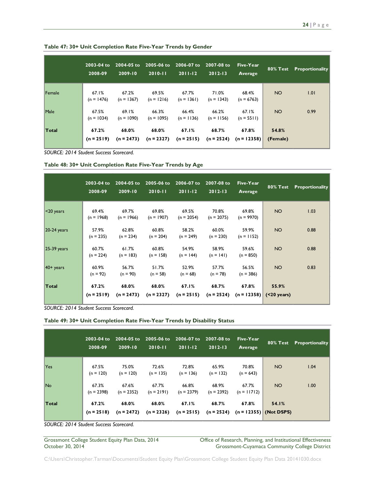|              | 2003-04 to<br>2008-09 | 2004-05 to<br>$12009 - 10$ | 2005-06 to<br>$2010 - 11$ | 2006-07 to<br>$2011 - 12$ | 2007-08 to<br>$2012 - 13$ | Five-Year<br>Average   | 80% Test          | Proportionality |
|--------------|-----------------------|----------------------------|---------------------------|---------------------------|---------------------------|------------------------|-------------------|-----------------|
| Female       | 67.1%<br>$(n = 1476)$ | 67.2%<br>$(n = 1367)$      | 69.5%<br>$(n = 1216)$     | 67.7%<br>$(n = 1361)$     | 71.0%<br>$(n = 1343)$     | 68.4%<br>$(n = 6763)$  | <b>NO</b>         | 1.01            |
| Male         | 67.5%<br>$(n = 1034)$ | 69.1%<br>$(n = 1090)$      | 66.3%<br>$(n = 1095)$     | 66.4%<br>$(n = 1136)$     | 66.2%<br>$(n = 1156)$     | 67.1%<br>$(n = 5511)$  | NO <sub>1</sub>   | 0.99            |
| <b>Total</b> | 67.2%<br>$(n = 2519)$ | 68.0%<br>$(n = 2473)$      | 68.0%<br>$(n = 2327)$     | 67.I%<br>$(n = 2515)$     | 68.7%<br>$(n = 2524)$     | 67.8%<br>$(n = 12358)$ | 54.8%<br>(Female) |                 |

**Table 47: 30+ Unit Completion Rate Five-Year Trends by Gender**

| Table 48: 30+ Unit Completion Rate Five-Year Trends by Age |  |  |  |  |  |
|------------------------------------------------------------|--|--|--|--|--|
|------------------------------------------------------------|--|--|--|--|--|

|               | $2003 - 04$ to<br>2008-09 | 2004-05 to<br>2009-10 | 2005-06 to<br>$2010 - 11$ | 2006-07 to<br>$2011 - 12$ | 2007-08 to<br>$2012 - 13$ | Five-Year<br>Average   | <b>80% Test</b>                | Proportionality |
|---------------|---------------------------|-----------------------|---------------------------|---------------------------|---------------------------|------------------------|--------------------------------|-----------------|
| $ <$ 20 years | 69.4%<br>$(n = 1968)$     | 69.7%<br>$(n = 1966)$ | 69.8%<br>$(n = 1907)$     | 69.5%<br>$(n = 2054)$     | 70.8%<br>$(n = 2075)$     | 69.8%<br>$(n = 9970)$  | <b>NO</b>                      | 1.03            |
| $20-24$ years | 57.9%<br>$(n = 235)$      | 62.8%<br>$(n = 234)$  | 60.8%<br>$(n = 204)$      | 58.2%<br>$(n = 249)$      | 60.0%<br>$(n = 230)$      | 59.9%<br>$(n = 1152)$  | NO <sub>1</sub>                | 0.88            |
| $25-39$ years | 60.7%<br>$(n = 224)$      | 61.7%<br>$(n = 183)$  | 60.8%<br>$(n = 158)$      | 54.9%<br>$(n = 144)$      | 58.9%<br>$(n = 141)$      | 59.6%<br>$(n = 850)$   | NO <sub>1</sub>                | 0.88            |
| $40+$ years   | 60.9%<br>$(n = 92)$       | 56.7%<br>$(n = 90)$   | 51.7%<br>$(n = 58)$       | 52.9%<br>$(n = 68)$       | 57.7%<br>$(n = 78)$       | 56.5%<br>$(n = 386)$   | NO <sub>1</sub>                | 0.83            |
| <b>Total</b>  | 67.2%<br>$(n = 2519)$     | 68.0%<br>$(n = 2473)$ | 68.0%<br>$(n = 2327)$     | 67.1%<br>$(n = 2515)$     | 68.7%<br>$(n = 2524)$     | 67.8%<br>$(n = 12358)$ | 55.9%<br>$( 20 \text{ years})$ |                 |

*SOURCE: 2014 Student Success Scorecard.*

|  |  | Table 49: 30+ Unit Completion Rate Five-Year Trends by Disability Status |  |  |  |  |  |  |
|--|--|--------------------------------------------------------------------------|--|--|--|--|--|--|
|--|--|--------------------------------------------------------------------------|--|--|--|--|--|--|

|            | 2003-04 to<br>2008-09 | $2004 - 05$ to<br>$2009 - 10$ | 2005-06 to<br>$2010 - 11$ | 2006-07 to<br>$2011-12$ | 2007-08 to<br>$2012 - 13$ | Five-Year<br>Average   | <b>80% Test</b>                   | <b>Proportionality</b> |
|------------|-----------------------|-------------------------------|---------------------------|-------------------------|---------------------------|------------------------|-----------------------------------|------------------------|
| <b>Yes</b> | 67.5%<br>$(n = 120)$  | 75.0%<br>$(n = 120)$          | 72.6%<br>$(n = 135)$      | 72.8%<br>$(n = 136)$    | 65.9%<br>$(n = 132)$      | 70.8%<br>$(n = 643)$   | NO <sub>1</sub>                   | 1.04                   |
| <b>No</b>  | 67.3%<br>$(n = 2398)$ | 67.6%<br>$(n = 2352)$         | 67.7%<br>$(n = 2191)$     | 66.8%<br>$(n = 2379)$   | 68.9%<br>$(n = 2392)$     | 67.7%<br>$(n = 11712)$ | NO <sub>1</sub>                   | 1.00                   |
| Total      | 67.2%<br>$(n = 2518)$ | 68.0%<br>$(n = 2472)$         | 68.0%<br>$(n = 2326)$     | 67.1%<br>$(n = 2515)$   | 68.7%<br>$(n = 2524)$     | 67.8%                  | 54.1%<br>$(n = 12355)$ (Not DSPS) |                        |

*SOURCE: 2014 Student Success Scorecard.*

Grossmont College Student Equity Plan Data, 2014 Office of Research, Planning, and Institutional Effectiveness<br>October 30, 2014 Ottober 30, 2014 Grossmont-Cuyamaca Community College District Grossmont-Cuyamaca Community College District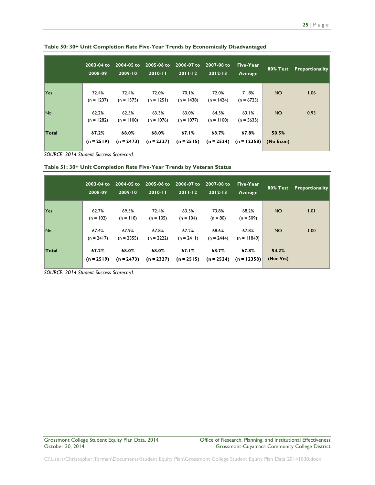|            | $2003 - 04$ to<br>2008-09 | 2004-05 to<br>$2009 - 10$ | $2005 - 06$ to<br>$2010 - 11$ | 2006-07 to<br>$2011 - 12$ | 2007-08 to<br>$2012 - 13$ | Five-Year<br>Average             |           | 80% Test Proportionality |
|------------|---------------------------|---------------------------|-------------------------------|---------------------------|---------------------------|----------------------------------|-----------|--------------------------|
| <b>Yes</b> | 72.4%<br>$(n = 1237)$     | 72.4%<br>$(n = 1373)$     | 72.0%<br>$(n = 1251)$         | 70.1%<br>$(n = 1438)$     | 72.0%<br>$(n = 1424)$     | 71.8%<br>$(n = 6723)$            | <b>NO</b> | 1.06                     |
| <b>No</b>  | 62.2%<br>$(n = 1282)$     | 62.5%<br>$(n = 1100)$     | 63.3%<br>$(n = 1076)$         | 63.0%<br>$(n = 1077)$     | 64.5%<br>$(n = 1100)$     | 63.1%<br>$(n = 5635)$            | NO.       | 0.93                     |
| Total      | 67.2%<br>$(n = 2519)$     | 68.0%<br>$(n = 2473)$     | 68.0%<br>$(n = 2327)$         | 67.1%<br>$(n = 2515)$     | 68.7%<br>$(n = 2524)$     | 67.8%<br>$(n = 12358)$ (No Econ) | 50.5%     |                          |

**Table 50: 30+ Unit Completion Rate Five-Year Trends by Economically Disadvantaged**

**Table 51: 30+ Unit Completion Rate Five-Year Trends by Veteran Status**

|           | $2003 - 04$ to<br>2008-09 | 2004-05 to<br>2009-10 | 2005-06 to<br>$2010 - 11$ | 2006-07 to<br>$2011 - 12$ | 2007-08 to<br>$2012 - 13$ | Five-Year<br>Average   | 80% Test           | Proportionality |
|-----------|---------------------------|-----------------------|---------------------------|---------------------------|---------------------------|------------------------|--------------------|-----------------|
| Yes       | 62.7%<br>$(n = 102)$      | 69.5%<br>$(n = 118)$  | 72.4%<br>$(n = 105)$      | 63.5%<br>$(n = 104)$      | 73.8%<br>$(n = 80)$       | 68.2%<br>$(n = 509)$   | NO <sub>1</sub>    | 1.01            |
| <b>No</b> | 67.4%<br>$(n = 2417)$     | 67.9%<br>$(n = 2355)$ | 67.8%<br>$(n = 2222)$     | 67.2%<br>$(n = 2411)$     | 68.6%<br>$(n = 2444)$     | 67.8%<br>$(n = 11849)$ | NO <sub>1</sub>    | 1.00            |
| Total     | 67.2%<br>$(n = 2519)$     | 68.0%<br>$(n = 2473)$ | 68.0%<br>$(n = 2327)$     | 67.1%<br>$(n = 2515)$     | 68.7%<br>$(n = 2524)$     | 67.8%<br>$(n = 12358)$ | 54.2%<br>(Non Vet) |                 |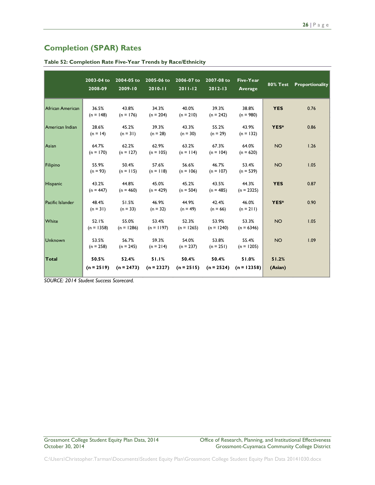### <span id="page-26-0"></span>**Completion (SPAR) Rates**

|                  | 2003-04 to<br>2008-09 | 2004-05 to<br>2009-10 | $2010 - 11$           | 2005-06 to 2006-07 to<br>$2011 - 12$ | 2007-08 to<br>$2012 - 13$           | <b>Five-Year</b><br>Average | <b>80% Test</b>  | Proportionality |
|------------------|-----------------------|-----------------------|-----------------------|--------------------------------------|-------------------------------------|-----------------------------|------------------|-----------------|
| African American | 36.5%<br>$(n = 148)$  | 43.8%<br>$(n = 176)$  | 34.3%<br>$(n = 204)$  | 40.0%<br>$(n = 210)$                 | 39.3%<br>$(n = 242)$                | 38.8%<br>$(n = 980)$        | <b>YES</b>       | 0.76            |
| American Indian  | 28.6%<br>$(n = 14)$   | 45.2%<br>$(n = 31)$   | 39.3%<br>$(n = 28)$   | 43.3%<br>$(n = 30)$                  | 55.2%<br>$(n = 29)$                 | 43.9%<br>$(n = 132)$        | YES*             | 0.86            |
| Asian            | 64.7%<br>$(n = 170)$  | 62.2%<br>$(n = 127)$  | 62.9%<br>$(n = 105)$  | 63.2%<br>$(n = 114)$                 | 67.3%<br>$(n = 104)$                | 64.0%<br>$(n = 620)$        | <b>NO</b>        | 1.26            |
| Filipino         | 55.9%<br>$(n = 93)$   | 50.4%<br>$(n = 115)$  | 57.6%<br>$(n = 118)$  | 56.6%<br>$(n = 106)$                 | 46.7%<br>$(n = 107)$                | 53.4%<br>$(n = 539)$        | <b>NO</b>        | 1.05            |
| <b>Hispanic</b>  | 43.2%<br>$(n = 447)$  | 44.8%<br>$(n = 460)$  | 45.0%<br>$(n = 429)$  | 45.2%<br>$(n = 504)$                 | 43.5%<br>$(n = 485)$                | 44.3%<br>$(n = 2325)$       | <b>YES</b>       | 0.87            |
| Pacific Islander | 48.4%<br>$(n = 31)$   | 51.5%<br>$(n = 33)$   | 46.9%<br>$(n = 32)$   | 44.9%<br>$(n = 49)$                  | 42.4%<br>$(n = 66)$                 | 46.0%<br>$(n = 211)$        | YES*             | 0.90            |
| White            | 52.1%<br>$(n = 1358)$ | 55.0%<br>$(n = 1286)$ | 53.4%<br>$(n = 1197)$ | 52.3%<br>$(n = 1265)$                | 53.9%<br>$(n = 1240)$               | 53.3%<br>$(n = 6346)$       | <b>NO</b>        | 1.05            |
| Unknown          | 53.5%<br>$(n = 258)$  | 56.7%<br>$(n = 245)$  | 59.3%<br>$(n = 214)$  | 54.0%<br>$(n = 237)$                 | 53.8%<br>$(n = 251)$                | 55.4%<br>$(n = 1205)$       | <b>NO</b>        | 1.09            |
| Total            | 50.5%<br>$(n = 2519)$ | 52.4%<br>$(n = 2473)$ | 51.1%<br>$(n = 2327)$ | 50.4%<br>$(n = 2515)$                | 50.4%<br>$(n = 2524)$ $(n = 12358)$ | 51.0%                       | 51.2%<br>(Asian) |                 |

**Table 52: Completion Rate Five-Year Trends by Race/Ethnicity**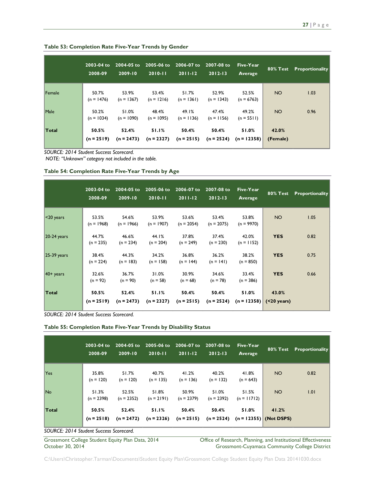|        | 2003-04 to<br>2008-09 | 2004-05 to<br>2009-10 | 2005-06 to<br>$2010 - 11$ | 2006-07 to<br>$2011 - 12$ | 2007-08 to<br>$2012 - 13$ | Five-Year<br>Average   | 80% Test          | Proportionality |
|--------|-----------------------|-----------------------|---------------------------|---------------------------|---------------------------|------------------------|-------------------|-----------------|
| Female | 50.7%<br>$(n = 1476)$ | 53.9%<br>$(n = 1367)$ | 53.4%<br>$(n = 1216)$     | 51.7%<br>$(n = 1361)$     | 52.9%<br>$(n = 1343)$     | 52.5%<br>$(n = 6763)$  | <b>NO</b>         | 1.03            |
| Male   | 50.2%<br>$(n = 1034)$ | 51.0%<br>$(n = 1090)$ | 48.4%<br>$(n = 1095)$     | 49.1%<br>$(n = 1136)$     | 47.4%<br>$(n = 1156)$     | 49.2%<br>$(n = 5511)$  | <b>NO</b>         | 0.96            |
| Total  | 50.5%<br>$(n = 2519)$ | 52.4%<br>$(n = 2473)$ | 51.1%<br>$(n = 2327)$     | 50.4%<br>$(n = 2515)$     | 50.4%<br>$(n = 2524)$     | 51.0%<br>$(n = 12358)$ | 42.0%<br>(Female) |                 |

#### **Table 53: Completion Rate Five-Year Trends by Gender**

*SOURCE: 2014 Student Success Scorecard.*

*NOTE: "Unknown" category not included in the table.*

#### **Table 54: Completion Rate Five-Year Trends by Age**

|               | 2003-04 to<br>2008-09 | 2004-05 to<br>2009-10 | 2005-06 to<br>$2010 - 11$ | 2006-07 to<br>$2011 - 12$ | 2007-08 to<br>$2012 - 13$ | Five-Year<br>Average   | $80\%$ Test              | Proportionality |
|---------------|-----------------------|-----------------------|---------------------------|---------------------------|---------------------------|------------------------|--------------------------|-----------------|
| $ <$ 20 years | 53.5%<br>$(n = 1968)$ | 54.6%<br>$(n = 1966)$ | 53.9%<br>$(n = 1907)$     | 53.6%<br>$(n = 2054)$     | 53.4%<br>$(n = 2075)$     | 53.8%<br>$(n = 9970)$  | NO                       | 1.05            |
| $20-24$ years | 44.7%<br>$(n = 235)$  | 46.6%<br>$(n = 234)$  | 44.I%<br>$(n = 204)$      | 37.8%<br>$(n = 249)$      | 37.4%<br>$(n = 230)$      | 42.0%<br>$(n = 1152)$  | <b>YES</b>               | 0.82            |
| $25-39$ years | 38.4%<br>$(n = 224)$  | 44.3%<br>$(n = 183)$  | 34.2%<br>$(n = 158)$      | 36.8%<br>$(n = 144)$      | 36.2%<br>$(n = 141)$      | 38.2%<br>$(n = 850)$   | <b>YES</b>               | 0.75            |
| $40+$ years   | 32.6%<br>$(n = 92)$   | 36.7%<br>$(n = 90)$   | 31.0%<br>$(n = 58)$       | 30.9%<br>$(n = 68)$       | 34.6%<br>$(n = 78)$       | 33.4%<br>$(n = 386)$   | <b>YES</b>               | 0.66            |
| Total         | 50.5%<br>$(n = 2519)$ | 52.4%<br>$(n = 2473)$ | 51.1%<br>$(n = 2327)$     | 50.4%<br>$(n = 2515)$     | 50.4%<br>$(n = 2524)$     | 51.0%<br>$(n = 12358)$ | 43.0%<br>$( < 20$ years) |                 |

*SOURCE: 2014 Student Success Scorecard.*

| Table 55: Completion Rate Five-Year Trends by Disability Status |  |  |  |  |
|-----------------------------------------------------------------|--|--|--|--|
|-----------------------------------------------------------------|--|--|--|--|

|       | 2003-04 to<br>2008-09 | 2004-05 to<br>$2009 - 10$ | $2005 - 06$ to<br>$2010 - 11$ | 2006-07 to<br>$2011 - 12$ | 2007-08 to<br>$2012 - 13$ | Five-Year<br>Average   | <b>80% Test</b>                   | Proportionality |
|-------|-----------------------|---------------------------|-------------------------------|---------------------------|---------------------------|------------------------|-----------------------------------|-----------------|
| Yes   | 35.8%<br>$(n = 120)$  | 51.7%<br>$(n = 120)$      | 40.7%<br>$(n = 135)$          | 41.2%<br>$(n = 136)$      | 40.2%<br>$(n = 132)$      | 41.8%<br>$(n = 643)$   | <b>NO</b>                         | 0.82            |
| No    | 51.3%<br>$(n = 2398)$ | 52.5%<br>$(n = 2352)$     | 51.8%<br>$(n = 2191)$         | 50.9%<br>$(n = 2379)$     | 51.0%<br>$(n = 2392)$     | 51.5%<br>$(n = 11712)$ | NO <sub>1</sub>                   | 1.01            |
| Total | 50.5%<br>$(n = 2518)$ | 52.4%<br>$(n = 2472)$     | 51.1%<br>$(n = 2326)$         | 50.4%<br>$(n = 2515)$     | 50.4%<br>$(n = 2524)$     | 51.0%                  | 41.2%<br>$(n = 12355)$ (Not DSPS) |                 |

*SOURCE: 2014 Student Success Scorecard.*

Grossmont College Student Equity Plan Data, 2014 Office of Research, Planning, and Institutional Effectiveness<br>October 30, 2014 Ottober 30, 2014 Grossmont-Cuyamaca Community College District Grossmont-Cuyamaca Community College District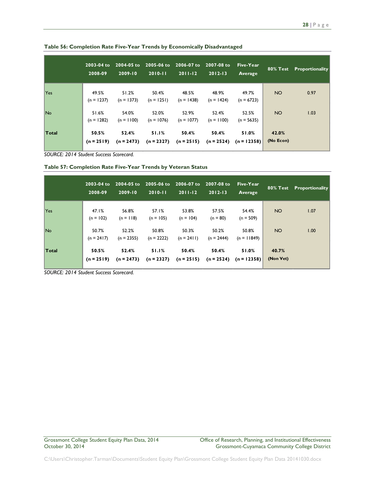|            | 2003-04 to<br>2008-09 | 2004-05 to<br>$2009 - 10$ | 2005-06 to<br>$2010 - 11$ | 2006-07 to<br>$2011 - 12$ | 2007-08 to<br>$2012 - 13$ | Five-Year<br>Average   |                    | 80% Test Proportionality |
|------------|-----------------------|---------------------------|---------------------------|---------------------------|---------------------------|------------------------|--------------------|--------------------------|
| <b>Yes</b> | 49.5%<br>$(n = 1237)$ | 51.2%<br>$(n = 1373)$     | 50.4%<br>$(n = 1251)$     | 48.5%<br>$(n = 1438)$     | 48.9%<br>$(n = 1424)$     | 49.7%<br>$(n = 6723)$  | NO <sub>1</sub>    | 0.97                     |
| <b>No</b>  | 51.6%<br>$(n = 1282)$ | 54.0%<br>$(n = 1100)$     | 52.0%<br>$(n = 1076)$     | 52.9%<br>$(n = 1077)$     | 52.4%<br>$(n = 1100)$     | 52.5%<br>$(n = 5635)$  | <b>NO</b>          | 1.03                     |
| Total      | 50.5%<br>$(n = 2519)$ | 52.4%<br>$(n = 2473)$     | 51.1%<br>$(n = 2327)$     | 50.4%<br>$(n = 2515)$     | 50.4%<br>$(n = 2524)$     | 51.0%<br>$(n = 12358)$ | 42.0%<br>(No Econ) |                          |

**Table 56: Completion Rate Five-Year Trends by Economically Disadvantaged**

**Table 57: Completion Rate Five-Year Trends by Veteran Status**

|       | $2003 - 04$ to<br>2008-09 | $2004 - 05$ to<br>2009-10 | 2005-06 to<br>$2010 - 11$ | 2006-07 to<br>$2011 - 12$ | 2007-08 to<br>$2012 - 13$ | Five-Year<br>Average   | 80% Test           | Proportionality |
|-------|---------------------------|---------------------------|---------------------------|---------------------------|---------------------------|------------------------|--------------------|-----------------|
| Yes   | 47.1%<br>$(n = 102)$      | 56.8%<br>$(n = 118)$      | 57.1%<br>$(n = 105)$      | 53.8%<br>$(n = 104)$      | 57.5%<br>$(n = 80)$       | 54.4%<br>$(n = 509)$   | NO <sub>1</sub>    | 1.07            |
| No.   | 50.7%<br>$(n = 2417)$     | 52.2%<br>$(n = 2355)$     | 50.8%<br>$(n = 2222)$     | 50.3%<br>$(n = 2411)$     | 50.2%<br>$(n = 2444)$     | 50.8%<br>$(n = 11849)$ | NO <sub>1</sub>    | 1.00            |
| Total | 50.5%<br>$(n = 2519)$     | 52.4%<br>$(n = 2473)$     | 51.1%<br>$(n = 2327)$     | 50.4%<br>$(n = 2515)$     | 50.4%<br>$(n = 2524)$     | 51.0%<br>$(n = 12358)$ | 40.7%<br>(Non Vet) |                 |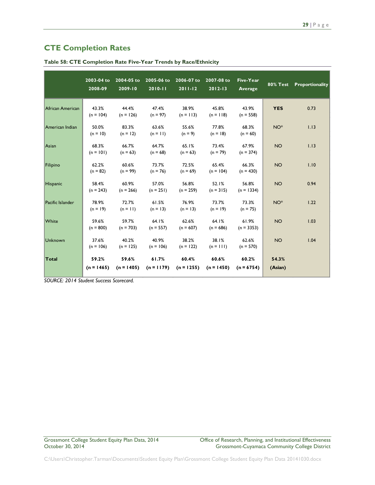### <span id="page-29-0"></span>**CTE Completion Rates**

|                  | 2003-04 to<br>2008-09 | 2004-05 to<br>2009-10 | 2005-06 to<br>$2010 - 11$ | 2006-07 to<br>$2011 - 12$ | 2007-08 to<br>$2012 - 13$ | <b>Five-Year</b><br>Average | <b>80% Test</b>  | Proportionality |
|------------------|-----------------------|-----------------------|---------------------------|---------------------------|---------------------------|-----------------------------|------------------|-----------------|
| African American | 43.3%<br>$(n = 104)$  | 44.4%<br>$(n = 126)$  | 47.4%<br>$(n = 97)$       | 38.9%<br>$(n = 113)$      | 45.8%<br>$(n = 118)$      | 43.9%<br>$(n = 558)$        | <b>YES</b>       | 0.73            |
| American Indian  | 50.0%<br>$(n = 10)$   | 83.3%<br>$(n = 12)$   | 63.6%<br>$(n = 11)$       | 55.6%<br>$(n = 9)$        | 77.8%<br>$(n = 18)$       | 68.3%<br>$(n = 60)$         | $NO^*$           | 1.13            |
| Asian            | 68.3%<br>$(n = 101)$  | 66.7%<br>$(n = 63)$   | 64.7%<br>$(n = 68)$       | 65.1%<br>$(n = 63)$       | 73.4%<br>$(n = 79)$       | 67.9%<br>$(n = 374)$        | <b>NO</b>        | 1.13            |
| Filipino         | 62.2%<br>$(n = 82)$   | 60.6%<br>$(n = 99)$   | 73.7%<br>$(n = 76)$       | 72.5%<br>$(n = 69)$       | 65.4%<br>$(n = 104)$      | 66.3%<br>$(n = 430)$        | <b>NO</b>        | 1.10            |
| Hispanic         | 58.4%<br>$(n = 243)$  | 60.9%<br>$(n = 266)$  | 57.0%<br>$(n = 251)$      | 56.8%<br>$(n = 259)$      | 52.1%<br>$(n = 315)$      | 56.8%<br>$(n = 1334)$       | <b>NO</b>        | 0.94            |
| Pacific Islander | 78.9%<br>$(n = 19)$   | 72.7%<br>$(n = 11)$   | 61.5%<br>$(n = 13)$       | 76.9%<br>$(n = 13)$       | 73.7%<br>$(n = 19)$       | 73.3%<br>$(n = 75)$         | $NO^*$           | 1.22            |
| White            | 59.6%<br>$(n = 800)$  | 59.7%<br>$(n = 703)$  | 64.1%<br>$(n = 557)$      | 62.6%<br>$(n = 607)$      | 64.1%<br>$(n = 686)$      | 61.9%<br>$(n = 3353)$       | <b>NO</b>        | 1.03            |
| Unknown          | 37.6%<br>$(n = 106)$  | 40.2%<br>$(n = 125)$  | 40.9%<br>$(n = 106)$      | 38.2%<br>$(n = 122)$      | 38.1%<br>$(n = 111)$      | 62.6%<br>$(n = 570)$        | <b>NO</b>        | 1.04            |
| Total            | 59.2%<br>$(n = 1465)$ | 59.6%<br>$(n = 1405)$ | 61.7%<br>$(n = 1179)$     | 60.4%<br>$(n = 1255)$     | 60.6%<br>$(n = 1450)$     | 60.2%<br>$(n = 6754)$       | 54.3%<br>(Asian) |                 |

**Table 58: CTE Completion Rate Five-Year Trends by Race/Ethnicity**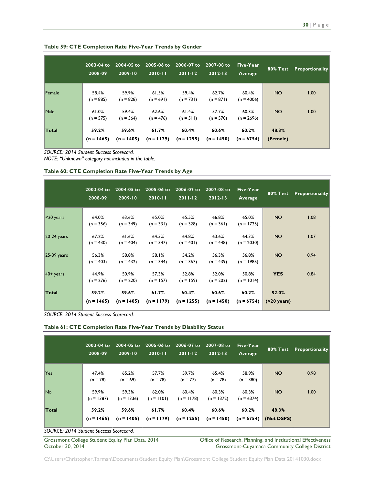|              | 2003-04 to<br>2008-09 | 2004-05 to<br>2009-10 | 2005-06 to<br>$2010 - 11$ | 2006-07 to<br>$2011 - 12$ | 2007-08 to<br>$2012 - 13$ | Five-Year<br>Average  | <b>80% Test</b>   | Proportionality |
|--------------|-----------------------|-----------------------|---------------------------|---------------------------|---------------------------|-----------------------|-------------------|-----------------|
| Female       | 58.4%<br>$(n = 885)$  | 59.9%<br>$(n = 828)$  | 61.5%<br>$(n = 691)$      | 59.4%<br>$(n = 731)$      | 62.7%<br>$(n = 871)$      | 60.4%<br>$(n = 4006)$ | <b>NO</b>         | 1.00            |
| Male         | 61.0%<br>$(n = 575)$  | 59.4%<br>$(n = 564)$  | 62.6%<br>$(n = 476)$      | 61.4%<br>$(n = 511)$      | 57.7%<br>$(n = 570)$      | 60.3%<br>$(n = 2696)$ | <b>NO</b>         | 1.00            |
| <b>Total</b> | 59.2%<br>$(n = 1465)$ | 59.6%<br>$(n = 1405)$ | 61.7%<br>$(n = 1179)$     | 60.4%<br>$(n = 1255)$     | 60.6%<br>$(n = 1450)$     | 60.2%<br>$(n = 6754)$ | 48.3%<br>(Female) |                 |

**Table 59: CTE Completion Rate Five-Year Trends by Gender**

*NOTE: "Unknown" category not included in the table.*

|               | 2003-04 to<br>2008-09 | 2004-05 to<br>2009-10 | $2005 - 06$ to<br>$2010 - 11$ | 2006-07 to<br>$2011 - 12$ | 2007-08 to<br>$2012 - 13$ | Five-Year<br>Average  | <b>80% Test</b>          | <b>Proportionality</b> |
|---------------|-----------------------|-----------------------|-------------------------------|---------------------------|---------------------------|-----------------------|--------------------------|------------------------|
| $<$ 20 years  | 64.0%<br>$(n = 356)$  | 63.6%<br>$(n = 349)$  | 65.0%<br>$(n = 331)$          | 65.5%<br>$(n = 328)$      | 66.8%<br>$(n = 361)$      | 65.0%<br>$(n = 1725)$ | NO <sub>1</sub>          | 1.08                   |
| $20-24$ years | 67.2%<br>$(n = 430)$  | 61.6%<br>$(n = 404)$  | 64.3%<br>$(n = 347)$          | 64.8%<br>$(n = 401)$      | 63.6%<br>$(n = 448)$      | 64.3%<br>$(n = 2030)$ | <b>NO</b>                | 1.07                   |
| $25-39$ years | 56.3%<br>$(n = 403)$  | 58.8%<br>$(n = 432)$  | 58.1%<br>$(n = 344)$          | 54.2%<br>$(n = 367)$      | 56.3%<br>$(n = 439)$      | 56.8%<br>$(n = 1985)$ | <b>NO</b>                | 0.94                   |
| $40+$ years   | 44.9%<br>$(n = 276)$  | 50.9%<br>$(n = 220)$  | 57.3%<br>$(n = 157)$          | 52.8%<br>$(n = 159)$      | 52.0%<br>$(n = 202)$      | 50.8%<br>$(n = 1014)$ | <b>YES</b>               | 0.84                   |
| <b>Total</b>  | 59.2%<br>$(n = 1465)$ | 59.6%<br>$(n = 1405)$ | 61.7%<br>$(n = 1179)$         | 60.4%<br>$(n = 1255)$     | 60.6%<br>$(n = 1450)$     | 60.2%<br>$(n = 6754)$ | 52.0%<br>$( < 20$ years) |                        |

*SOURCE: 2014 Student Success Scorecard.*

**Table 61: CTE Completion Rate Five-Year Trends by Disability Status**

|                                         | 2003-04 to<br>2008-09 | 2004-05 to<br>$2009 - 10$ | $2005 - 06$ to<br>$2010 - 11$ | 2006-07 to<br>$2011 - 12$ | 2007-08 to<br>$2012 - 13$ | Five-Year<br>Average  | 80% Test            | Proportionality |
|-----------------------------------------|-----------------------|---------------------------|-------------------------------|---------------------------|---------------------------|-----------------------|---------------------|-----------------|
| Yes                                     | 47.4%<br>$(n = 78)$   | 65.2%<br>$(n = 69)$       | 57.7%<br>$(n = 78)$           | 59.7%<br>$(n = 77)$       | 65.4%<br>$(n = 78)$       | 58.9%<br>$(n = 380)$  | NO <sub>1</sub>     | 0.98            |
| No.                                     | 59.9%<br>$(n = 1387)$ | 59.3%<br>$(n = 1336)$     | 62.0%<br>$(n = 1101)$         | 60.4%<br>$(n = 1178)$     | 60.3%<br>$(n = 1372)$     | 60.3%<br>$(n = 6374)$ | NO <sub>1</sub>     | 1.00            |
| <b>Total</b>                            | 59.2%<br>$(n = 1465)$ | 59.6%<br>$(n = 1405)$     | 61.7%<br>$(n = 1179)$         | 60.4%<br>$(n = 1255)$     | 60.6%<br>$(n = 1450)$     | 60.2%<br>$(n = 6754)$ | 48.3%<br>(Not DSPS) |                 |
| SOURCE: 2014 Student Success Scorecard. |                       |                           |                               |                           |                           |                       |                     |                 |

Grossmont College Student Equity Plan Data, 2014 College Office of Research, Planning, and Institutional Effectiveness<br>October 30, 2014 Crossmont-Cuyamaca Community College District Grossmont-Cuyamaca Community College District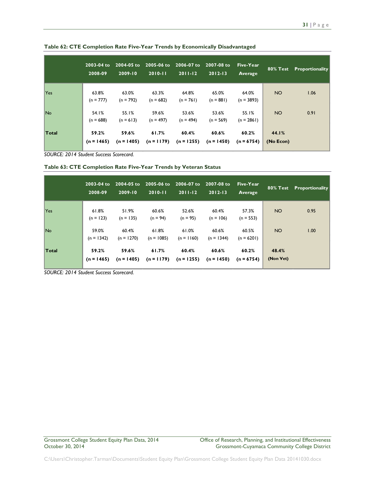|              | $2003 - 04$ to<br>2008-09 | 2004-05 to<br>$2009 - 10$ | 2005-06 to<br>$2010 - 11$ | 2006-07 to<br>$2011 - 12$ | 2007-08 to<br>$2012 - 13$ | Five-Year<br>Average  | 80% Test           | Proportionality |
|--------------|---------------------------|---------------------------|---------------------------|---------------------------|---------------------------|-----------------------|--------------------|-----------------|
| <b>Yes</b>   | 63.8%<br>$(n = 777)$      | 63.0%<br>$(n = 792)$      | 63.3%<br>$(n = 682)$      | 64.8%<br>$(n = 761)$      | 65.0%<br>$(n = 881)$      | 64.0%<br>$(n = 3893)$ | <b>NO</b>          | 1.06            |
| No.          | 54.1%<br>$(n = 688)$      | 55.1%<br>$(n = 613)$      | 59.6%<br>$(n = 497)$      | 53.6%<br>$(n = 494)$      | 53.6%<br>$(n = 569)$      | 55.1%<br>$(n = 2861)$ | NO <sub>1</sub>    | 0.91            |
| <b>Total</b> | 59.2%<br>$(n = 1465)$     | 59.6%<br>$(n = 1405)$     | 61.7%<br>$(n = 1179)$     | 60.4%<br>$(n = 1255)$     | 60.6%<br>$(n = 1450)$     | 60.2%<br>$(n = 6754)$ | 44.1%<br>(No Econ) |                 |

**Table 62: CTE Completion Rate Five-Year Trends by Economically Disadvantaged**

**Table 63: CTE Completion Rate Five-Year Trends by Veteran Status**

|       | $2003 - 04$ to<br>2008-09 | 2004-05 to<br>2009-10 | 2005-06 to<br>$2010 - 11$ | 2006-07 to<br>$2011 - 12$ | 2007-08 to<br>$2012 - 13$ | Five-Year<br>Average  | 80% Test           | Proportionality |
|-------|---------------------------|-----------------------|---------------------------|---------------------------|---------------------------|-----------------------|--------------------|-----------------|
| Yes   | 61.8%<br>$(n = 123)$      | 51.9%<br>$(n = 135)$  | 60.6%<br>$(n = 94)$       | 52.6%<br>$(n = 95)$       | 60.4%<br>$(n = 106)$      | 57.3%<br>$(n = 553)$  | NO <sub>1</sub>    | 0.95            |
| No.   | 59.0%<br>$(n = 1342)$     | 60.4%<br>$(n = 1270)$ | 61.8%<br>$(n = 1085)$     | 61.0%<br>$(n = 1160)$     | 60.6%<br>$(n = 1344)$     | 60.5%<br>$(n = 6201)$ | NO <sub>1</sub>    | 1.00            |
| Total | 59.2%<br>$(n = 1465)$     | 59.6%<br>$(n = 1405)$ | 61.7%<br>$(n = 1179)$     | 60.4%<br>$(n = 1255)$     | 60.6%<br>$(n = 1450)$     | 60.2%<br>$(n = 6754)$ | 48.4%<br>(Non Vet) |                 |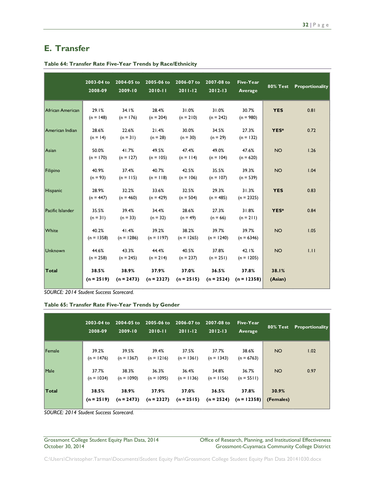# <span id="page-32-0"></span>**E. Transfer**

|                  | 2003-04 to<br>2008-09 | 2004-05 to<br>2009-10 | 2005-06 to<br>2010-11 | 2006-07 to<br>$2011 - 12$ | 2007-08 to<br>$2012 - 13$ | <b>Five-Year</b><br><b>Average</b> | <b>80% Test</b>  | Proportionality |
|------------------|-----------------------|-----------------------|-----------------------|---------------------------|---------------------------|------------------------------------|------------------|-----------------|
| African American | 29.1%<br>$(n = 148)$  | 34.1%<br>$(n = 176)$  | 28.4%<br>$(n = 204)$  | 31.0%<br>$(n = 210)$      | 31.0%<br>$(n = 242)$      | 30.7%<br>$(n = 980)$               | <b>YES</b>       | 0.81            |
| American Indian  | 28.6%<br>$(n = 14)$   | 22.6%<br>$(n = 31)$   | 21.4%<br>$(n = 28)$   | 30.0%<br>$(n = 30)$       | 34.5%<br>$(n = 29)$       | 27.3%<br>$(n = 132)$               | YES*             | 0.72            |
| Asian            | 50.0%<br>$(n = 170)$  | 41.7%<br>$(n = 127)$  | 49.5%<br>$(n = 105)$  | 47.4%<br>$(n = 114)$      | 49.0%<br>$(n = 104)$      | 47.6%<br>$(n = 620)$               | <b>NO</b>        | 1.26            |
| Filipino         | 40.9%<br>$(n = 93)$   | 37.4%<br>$(n = 115)$  | 40.7%<br>$(n = 118)$  | 42.5%<br>$(n = 106)$      | 35.5%<br>$(n = 107)$      | 39.3%<br>$(n = 539)$               | <b>NO</b>        | 1.04            |
| Hispanic         | 28.9%<br>$(n = 447)$  | 32.2%<br>$(n = 460)$  | 33.6%<br>$(n = 429)$  | 32.5%<br>$(n = 504)$      | 29.3%<br>$(n = 485)$      | 31.3%<br>$(n = 2325)$              | <b>YES</b>       | 0.83            |
| Pacific Islander | 35.5%<br>$(n = 31)$   | 39.4%<br>$(n = 33)$   | 34.4%<br>$(n = 32)$   | 28.6%<br>$(n = 49)$       | 27.3%<br>$(n = 66)$       | 31.8%<br>$(n = 211)$               | YES*             | 0.84            |
| White            | 40.2%<br>$(n = 1358)$ | 41.4%<br>$(n = 1286)$ | 39.2%<br>$(n = 1197)$ | 38.2%<br>$(n = 1265)$     | 39.7%<br>$(n = 1240)$     | 39.7%<br>$(n = 6346)$              | <b>NO</b>        | 1.05            |
| Unknown          | 44.6%<br>$(n = 258)$  | 43.3%<br>$(n = 245)$  | 44.4%<br>$(n = 214)$  | 40.5%<br>$(n = 237)$      | 37.8%<br>$(n = 251)$      | 42.1%<br>$(n = 1205)$              | <b>NO</b>        | 1.11            |
| Total            | 38.5%<br>$(n = 2519)$ | 38.9%<br>$(n = 2473)$ | 37.9%<br>$(n = 2327)$ | 37.0%<br>$(n = 2515)$     | 36.5%<br>$(n = 2524)$     | 37.8%<br>$(n = 12358)$             | 38.I%<br>(Asian) |                 |

**Table 64: Transfer Rate Five-Year Trends by Race/Ethnicity**

*SOURCE: 2014 Student Success Scorecard.*

**Table 65: Transfer Rate Five-Year Trends by Gender**

|        | $2003 - 04$ to<br>2008-09 | 2004-05 to<br>2009-10 | 2005-06 to 2006-07 to<br>$2010 - 11$ | $2011 - 12$           | 2007-08 to<br>$2012 - 13$ | Five-Year<br>Average   |                    | 80% Test Proportionality |
|--------|---------------------------|-----------------------|--------------------------------------|-----------------------|---------------------------|------------------------|--------------------|--------------------------|
| Female | 39.2%<br>$(n = 1476)$     | 39.5%<br>$(n = 1367)$ | 39.4%<br>$(n = 1216)$                | 37.5%<br>$(n = 1361)$ | 37.7%<br>$(n = 1343)$     | 38.6%<br>$(n = 6763)$  | NO <sub>1</sub>    | 1.02                     |
| Male   | 37.7%<br>$(n = 1034)$     | 38.3%<br>$(n = 1090)$ | 36.3%<br>$(n = 1095)$                | 36.4%<br>$(n = 1136)$ | 34.8%<br>$(n = 1156)$     | 36.7%<br>$(n = 5511)$  | NO <sub>1</sub>    | 0.97                     |
| Total  | 38.5%<br>$(n = 2519)$     | 38.9%<br>$(n = 2473)$ | 37.9%<br>$(n = 2327)$                | 37.0%<br>$(n = 2515)$ | 36.5%<br>$(n = 2524)$     | 37.8%<br>$(n = 12358)$ | 30.9%<br>(Females) |                          |

*SOURCE: 2014 Student Success Scorecard.*

Grossmont College Student Equity Plan Data, 2014 Office of Research, Planning, and Institutional Effectiveness<br>October 30, 2014 Ottober 30, 2014 Grossmont-Cuyamaca Community College District Grossmont-Cuyamaca Community College District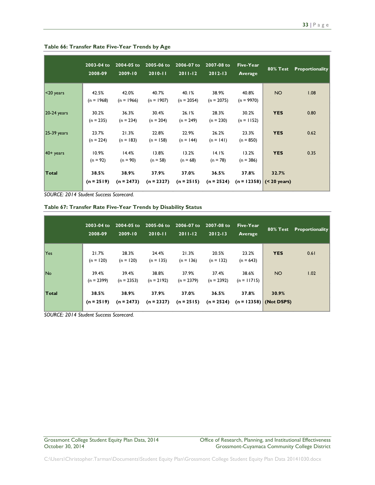|               | 2003-04 to<br>2008-09 | 2004-05 to<br>2009-10 | 2005-06 to<br>$2010 - 11$ | 2006-07 to<br>$2011 - 12$ | 2007-08 to<br>$2012 - 13$ | Five-Year<br><b>Average</b> | <b>80% Test</b>                     | <b>Proportionality</b> |
|---------------|-----------------------|-----------------------|---------------------------|---------------------------|---------------------------|-----------------------------|-------------------------------------|------------------------|
| $<$ 20 years  | 42.5%<br>$(n = 1968)$ | 42.0%<br>$(n = 1966)$ | 40.7%<br>$(n = 1907)$     | 40.1%<br>$(n = 2054)$     | 38.9%<br>$(n = 2075)$     | 40.8%<br>$(n = 9970)$       | <b>NO</b>                           | 1.08                   |
| $20-24$ years | 30.2%<br>$(n = 235)$  | 36.3%<br>$(n = 234)$  | 30.4%<br>$(n = 204)$      | 26.1%<br>$(n = 249)$      | 28.3%<br>$(n = 230)$      | 30.2%<br>$(n = 1152)$       | <b>YES</b>                          | 0.80                   |
| $25-39$ years | 23.7%<br>$(n = 224)$  | 21.3%<br>$(n = 183)$  | 22.8%<br>$(n = 158)$      | 22.9%<br>$(n = 144)$      | 26.2%<br>$(n = 141)$      | 23.3%<br>$(n = 850)$        | <b>YES</b>                          | 0.62                   |
| $40+$ years   | 10.9%<br>$(n = 92)$   | 14.4%<br>$(n = 90)$   | 13.8%<br>$(n = 58)$       | 13.2%<br>$(n = 68)$       | 14.1%<br>$(n = 78)$       | 13.2%<br>$(n = 386)$        | <b>YES</b>                          | 0.35                   |
| Total         | 38.5%<br>$(n = 2519)$ | 38.9%<br>$(n = 2473)$ | 37.9%<br>$(n = 2327)$     | 37.0%<br>$(n = 2515)$     | 36.5%<br>$(n = 2524)$     | 37.8%                       | 32.7%<br>$(n = 12358)$ (< 20 years) |                        |

#### **Table 66: Transfer Rate Five-Year Trends by Age**

*SOURCE: 2014 Student Success Scorecard.*

| Table 67: Transfer Rate Five-Year Trends by Disability Status |  |  |  |
|---------------------------------------------------------------|--|--|--|
|---------------------------------------------------------------|--|--|--|

|            | $2003 - 04$ to<br>2008-09 | 2004-05 to<br>$2009 - 10$ | 2005-06 to<br>$2010 - 11$ | 2006-07 to<br>$2011 - 12$ | 2007-08 to<br>$2012 - 13$ | Five-Year<br>Average   |                                   | 80% Test Proportionality |
|------------|---------------------------|---------------------------|---------------------------|---------------------------|---------------------------|------------------------|-----------------------------------|--------------------------|
| <b>Yes</b> | 21.7%<br>$(n = 120)$      | 28.3%<br>$(n = 120)$      | 24.4%<br>$(n = 135)$      | 21.3%<br>$(n = 136)$      | 20.5%<br>$(n = 132)$      | 23.2%<br>$(n = 643)$   | <b>YES</b>                        | 0.61                     |
| No.        | 39.4%<br>$(n = 2399)$     | 39.4%<br>$(n = 2353)$     | 38.8%<br>$(n = 2192)$     | 37.9%<br>$(n = 2379)$     | 37.4%<br>$(n = 2392)$     | 38.6%<br>$(n = 11715)$ | NO <sub>1</sub>                   | 1.02                     |
| Total      | 38.5%<br>$(n = 2519)$     | 38.9%<br>$(n = 2473)$     | 37.9%<br>$(n = 2327)$     | 37.0%<br>$(n = 2515)$     | 36.5%<br>$(n = 2524)$     | 37.8%                  | 30.9%<br>$(n = 12358)$ (Not DSPS) |                          |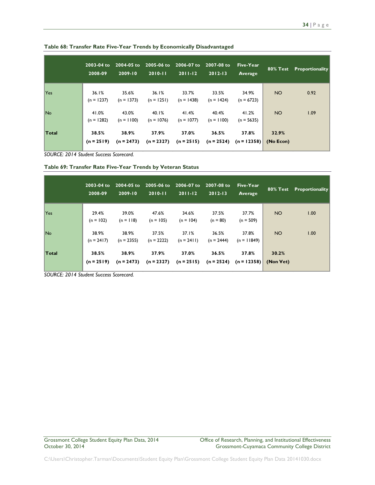|            | 2003-04 to<br>2008-09 | 2004-05 to<br>$2009 - 10$ | 2005-06 to<br>$2010 - 11$ | 2006-07 to<br>$2011-12$ | $2007 - 08$ to<br>$2012 - 13$ | Five-Year<br>Average   |                    | <b>80% Test</b> Proportionality |
|------------|-----------------------|---------------------------|---------------------------|-------------------------|-------------------------------|------------------------|--------------------|---------------------------------|
| <b>Yes</b> | 36.1%<br>$(n = 1237)$ | 35.6%<br>$(n = 1373)$     | 36.1%<br>$(n = 1251)$     | 33.7%<br>$(n = 1438)$   | 33.5%<br>$(n = 1424)$         | 34.9%<br>$(n = 6723)$  | NO <sub>1</sub>    | 0.92                            |
| <b>No</b>  | 41.0%<br>$(n = 1282)$ | 43.0%<br>$(n = 1100)$     | 40.1%<br>$(n = 1076)$     | 41.4%<br>$(n = 1077)$   | 40.4%<br>$(n = 1100)$         | 41.2%<br>$(n = 5635)$  | NO <sub>1</sub>    | 1.09                            |
| Total      | 38.5%<br>$(n = 2519)$ | 38.9%<br>$(n = 2473)$     | 37.9%<br>$(n = 2327)$     | 37.0%<br>$(n = 2515)$   | 36.5%<br>$(n = 2524)$         | 37.8%<br>$(n = 12358)$ | 32.9%<br>(No Econ) |                                 |

**Table 68: Transfer Rate Five-Year Trends by Economically Disadvantaged**

**Table 69: Transfer Rate Five-Year Trends by Veteran Status**

|            | 2003-04 to<br>2008-09 | 2004-05 to<br>$2009 - 10$ | 2005-06 to<br>$2010 - 11$ | 2006-07 to<br>$2011 - 12$ | 2007-08 to<br>$2012 - 13$ | Five-Year<br>Average   | 80% Test           | <b>Proportionality</b> |
|------------|-----------------------|---------------------------|---------------------------|---------------------------|---------------------------|------------------------|--------------------|------------------------|
| <b>Yes</b> | 29.4%<br>$(n = 102)$  | 39.0%<br>$(n = 118)$      | 47.6%<br>$(n = 105)$      | 34.6%<br>$(n = 104)$      | 37.5%<br>$(n = 80)$       | 37.7%<br>$(n = 509)$   | NO.                | 1.00                   |
| <b>No</b>  | 38.9%<br>$(n = 2417)$ | 38.9%<br>$(n = 2355)$     | 37.5%<br>$(n = 2222)$     | 37.1%<br>$(n = 2411)$     | 36.5%<br>$(n = 2444)$     | 37.8%<br>$(n = 11849)$ | NO <sub>1</sub>    | 1.00                   |
| Total      | 38.5%<br>$(n = 2519)$ | 38.9%<br>$(n = 2473)$     | 37.9%<br>$(n = 2327)$     | 37.0%<br>$(n = 2515)$     | 36.5%<br>$(n = 2524)$     | 37.8%<br>$(n = 12358)$ | 30.2%<br>(Non Vet) |                        |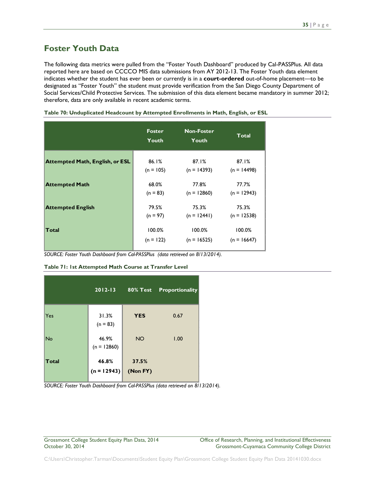# <span id="page-35-0"></span>**Foster Youth Data**

The following data metrics were pulled from the "Foster Youth Dashboard" produced by Cal-PASSPlus. All data reported here are based on CCCCO MIS data submissions from AY 2012-13. The Foster Youth data element indicates whether the student has ever been or currently is in a **court-ordered** out-of-home placement—to be designated as "Foster Youth" the student must provide verification from the San Diego County Department of Social Services/Child Protective Services. The submission of this data element became mandatory in summer 2012; therefore, data are only available in recent academic terms.

|                                        | <b>Foster</b><br>Youth | <b>Non-Foster</b><br><b>Youth</b> | Total         |
|----------------------------------------|------------------------|-----------------------------------|---------------|
| <b>Attempted Math, English, or ESL</b> | 86.1%                  | 87.1%                             | 87.1%         |
|                                        | $(n = 105)$            | $(n = 14393)$                     | $(n = 14498)$ |
| <b>Attempted Math</b>                  | 68.0%                  | 77.8%                             | 77.7%         |
|                                        | $(n = 83)$             | $(n = 12860)$                     | $(n = 12943)$ |
| <b>Attempted English</b>               | 79.5%                  | 75.3%                             | 75.3%         |
|                                        | $(n = 97)$             | $(n = 12441)$                     | $(n = 12538)$ |
| Total                                  | 100.0%                 | 100.0%                            | 100.0%        |
|                                        | $(n = 122)$            | $(n = 16525)$                     | $(n = 16647)$ |

**Table 70: Unduplicated Headcount by Attempted Enrollments in Math, English, or ESL**

*SOURCE: Foster Youth Dashboard from Cal-PASSPlus (data retrieved on 8/13/2014).*

#### **Table 71: 1st Attempted Math Course at Transfer Level**

|              | $2012 - 13$            | <b>80% Test</b>   | <b>Proportionality</b> |
|--------------|------------------------|-------------------|------------------------|
| Yes          | 31.3%<br>$(n = 83)$    | <b>YES</b>        | 0.67                   |
| No           | 46.9%<br>$(n = 12860)$ | <b>NO</b>         | 1.00                   |
| <b>Total</b> | 46.8%<br>$(n = 12943)$ | 37.5%<br>(Non FY) |                        |

*SOURCE: Foster Youth Dashboard from Cal-PASSPlus (data retrieved on 8/13/2014).*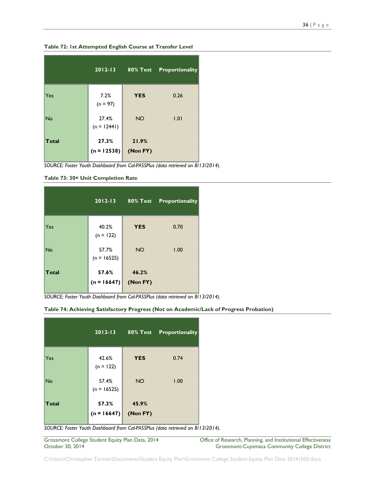|              | $2012 - 13$            | <b>80% Test</b>   | <b>Proportionality</b> |
|--------------|------------------------|-------------------|------------------------|
| Yes          | 7.2%<br>$(n = 97)$     | <b>YES</b>        | 0.26                   |
| <b>No</b>    | 27.4%<br>$(n = 12441)$ | <b>NO</b>         | 1.01                   |
| <b>Total</b> | 27.3%<br>$(n = 12538)$ | 21.9%<br>(Non FY) |                        |

**Table 72: 1st Attempted English Course at Transfer Level**

*SOURCE: Foster Youth Dashboard from Cal-PASSPlus (data retrieved on 8/13/2014).*

**Table 73: 30+ Unit Completion Rate**

|           | $2012 - 13$            | 80% Test          | <b>Proportionality</b> |
|-----------|------------------------|-------------------|------------------------|
| Yes       | 40.2%<br>$(n = 122)$   | <b>YES</b>        | 0.70                   |
| <b>No</b> | 57.7%<br>$(n = 16525)$ | <b>NO</b>         | 1.00                   |
| Total     | 57.6%<br>$(n = 16647)$ | 46.2%<br>(Non FY) |                        |

*SOURCE: Foster Youth Dashboard from Cal-PASSPlus (data retrieved on 8/13/2014).*

#### **Table 74: Achieving Satisfactory Progress (Not on Academic/Lack of Progress Probation)**

|              | $2012 - 13$            | <b>80% Test</b>   | Proportionality |
|--------------|------------------------|-------------------|-----------------|
| Yes          | 42.6%<br>$(n = 122)$   | <b>YES</b>        | 0.74            |
| <b>No</b>    | 57.4%<br>$(n = 16525)$ | <b>NO</b>         | 1.00            |
| <b>Total</b> | 57.3%<br>$(n = 16647)$ | 45.9%<br>(Non FY) |                 |

*SOURCE: Foster Youth Dashboard from Cal-PASSPlus (data retrieved on 8/13/2014).*

Grossmont College Student Equity Plan Data, 2014 Office of Research, Planning, and Institutional Effectiveness<br>October 30, 2014 Crossmont-Cuyamaca Community College District Grossmont-Cuyamaca Community College District